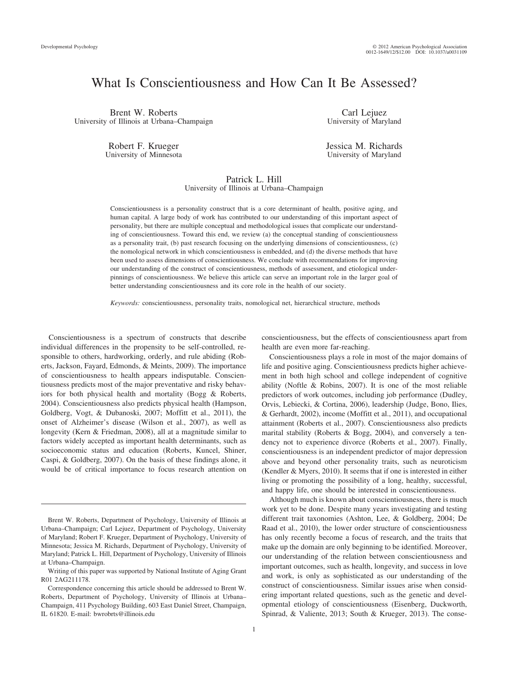## What Is Conscientiousness and How Can It Be Assessed?

Brent W. Roberts University of Illinois at Urbana–Champaign

> Robert F. Krueger University of Minnesota

Carl Lejuez University of Maryland

Jessica M. Richards University of Maryland

#### Patrick L. Hill University of Illinois at Urbana–Champaign

Conscientiousness is a personality construct that is a core determinant of health, positive aging, and human capital. A large body of work has contributed to our understanding of this important aspect of personality, but there are multiple conceptual and methodological issues that complicate our understanding of conscientiousness. Toward this end, we review (a) the conceptual standing of conscientiousness as a personality trait, (b) past research focusing on the underlying dimensions of conscientiousness, (c) the nomological network in which conscientiousness is embedded, and (d) the diverse methods that have been used to assess dimensions of conscientiousness. We conclude with recommendations for improving our understanding of the construct of conscientiousness, methods of assessment, and etiological underpinnings of conscientiousness. We believe this article can serve an important role in the larger goal of better understanding conscientiousness and its core role in the health of our society.

*Keywords:* conscientiousness, personality traits, nomological net, hierarchical structure, methods

Conscientiousness is a spectrum of constructs that describe individual differences in the propensity to be self-controlled, responsible to others, hardworking, orderly, and rule abiding (Roberts, Jackson, Fayard, Edmonds, & Meints, 2009). The importance of conscientiousness to health appears indisputable. Conscientiousness predicts most of the major preventative and risky behaviors for both physical health and mortality (Bogg & Roberts, 2004). Conscientiousness also predicts physical health (Hampson, Goldberg, Vogt, & Dubanoski, 2007; Moffitt et al., 2011), the onset of Alzheimer's disease (Wilson et al., 2007), as well as longevity (Kern & Friedman, 2008), all at a magnitude similar to factors widely accepted as important health determinants, such as socioeconomic status and education (Roberts, Kuncel, Shiner, Caspi, & Goldberg, 2007). On the basis of these findings alone, it would be of critical importance to focus research attention on

Writing of this paper was supported by National Institute of Aging Grant R01 2AG211178.

1

conscientiousness, but the effects of conscientiousness apart from health are even more far-reaching.

Conscientiousness plays a role in most of the major domains of life and positive aging. Conscientiousness predicts higher achievement in both high school and college independent of cognitive ability (Noftle & Robins, 2007). It is one of the most reliable predictors of work outcomes, including job performance (Dudley, Orvis, Lebiecki, & Cortina, 2006), leadership (Judge, Bono, Ilies, & Gerhardt, 2002), income (Moffitt et al., 2011), and occupational attainment (Roberts et al., 2007). Conscientiousness also predicts marital stability (Roberts & Bogg, 2004), and conversely a tendency not to experience divorce (Roberts et al., 2007). Finally, conscientiousness is an independent predictor of major depression above and beyond other personality traits, such as neuroticism (Kendler & Myers, 2010). It seems that if one is interested in either living or promoting the possibility of a long, healthy, successful, and happy life, one should be interested in conscientiousness.

Although much is known about conscientiousness, there is much work yet to be done. Despite many years investigating and testing different trait taxonomies (Ashton, Lee, & Goldberg, 2004; De Raad et al., 2010), the lower order structure of conscientiousness has only recently become a focus of research, and the traits that make up the domain are only beginning to be identified. Moreover, our understanding of the relation between conscientiousness and important outcomes, such as health, longevity, and success in love and work, is only as sophisticated as our understanding of the construct of conscientiousness. Similar issues arise when considering important related questions, such as the genetic and developmental etiology of conscientiousness (Eisenberg, Duckworth, Spinrad, & Valiente, 2013; South & Krueger, 2013). The conse-

Brent W. Roberts, Department of Psychology, University of Illinois at Urbana–Champaign; Carl Lejuez, Department of Psychology, University of Maryland; Robert F. Krueger, Department of Psychology, University of Minnesota; Jessica M. Richards, Department of Psychology, University of Maryland; Patrick L. Hill, Department of Psychology, University of Illinois at Urbana–Champaign.

Correspondence concerning this article should be addressed to Brent W. Roberts, Department of Psychology, University of Illinois at Urbana– Champaign, 411 Psychology Building, 603 East Daniel Street, Champaign, IL 61820. E-mail: bwrobrts@illinois.edu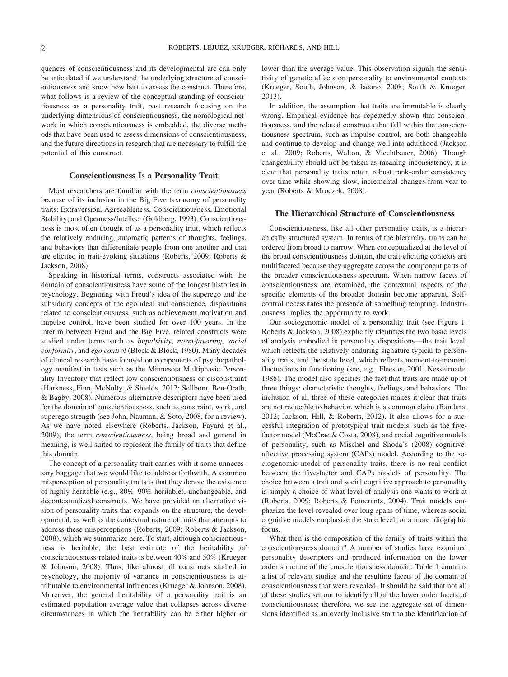quences of conscientiousness and its developmental arc can only be articulated if we understand the underlying structure of conscientiousness and know how best to assess the construct. Therefore, what follows is a review of the conceptual standing of conscientiousness as a personality trait, past research focusing on the underlying dimensions of conscientiousness, the nomological network in which conscientiousness is embedded, the diverse methods that have been used to assess dimensions of conscientiousness, and the future directions in research that are necessary to fulfill the potential of this construct.

#### **Conscientiousness Is a Personality Trait**

Most researchers are familiar with the term *conscientiousness* because of its inclusion in the Big Five taxonomy of personality traits: Extraversion, Agreeableness, Conscientiousness, Emotional Stability, and Openness/Intellect (Goldberg, 1993). Conscientiousness is most often thought of as a personality trait, which reflects the relatively enduring, automatic patterns of thoughts, feelings, and behaviors that differentiate people from one another and that are elicited in trait-evoking situations (Roberts, 2009; Roberts & Jackson, 2008).

Speaking in historical terms, constructs associated with the domain of conscientiousness have some of the longest histories in psychology. Beginning with Freud's idea of the superego and the subsidiary concepts of the ego ideal and conscience, dispositions related to conscientiousness, such as achievement motivation and impulse control, have been studied for over 100 years. In the interim between Freud and the Big Five, related constructs were studied under terms such as *impulsivity*, *norm-favoring*, *social conformity*, and *ego control* (Block & Block, 1980). Many decades of clinical research have focused on components of psychopathology manifest in tests such as the Minnesota Multiphasic Personality Inventory that reflect low conscientiousness or disconstraint (Harkness, Finn, McNulty, & Shields, 2012; Sellbom, Ben-Orath, & Bagby, 2008). Numerous alternative descriptors have been used for the domain of conscientiousness, such as constraint, work, and superego strength (see John, Nauman, & Soto, 2008, for a review). As we have noted elsewhere (Roberts, Jackson, Fayard et al., 2009), the term *conscientiousness*, being broad and general in meaning, is well suited to represent the family of traits that define this domain.

The concept of a personality trait carries with it some unnecessary baggage that we would like to address forthwith. A common misperception of personality traits is that they denote the existence of highly heritable (e.g., 80%–90% heritable), unchangeable, and decontextualized constructs. We have provided an alternative vision of personality traits that expands on the structure, the developmental, as well as the contextual nature of traits that attempts to address these misperceptions (Roberts, 2009; Roberts & Jackson, 2008), which we summarize here. To start, although conscientiousness is heritable, the best estimate of the heritability of conscientiousness-related traits is between 40% and 50% (Krueger & Johnson, 2008). Thus, like almost all constructs studied in psychology, the majority of variance in conscientiousness is attributable to environmental influences (Krueger & Johnson, 2008). Moreover, the general heritability of a personality trait is an estimated population average value that collapses across diverse circumstances in which the heritability can be either higher or lower than the average value. This observation signals the sensitivity of genetic effects on personality to environmental contexts (Krueger, South, Johnson, & Iacono, 2008; South & Krueger, 2013).

In addition, the assumption that traits are immutable is clearly wrong. Empirical evidence has repeatedly shown that conscientiousness, and the related constructs that fall within the conscientiousness spectrum, such as impulse control, are both changeable and continue to develop and change well into adulthood (Jackson et al., 2009; Roberts, Walton, & Viechtbauer, 2006). Though changeability should not be taken as meaning inconsistency, it is clear that personality traits retain robust rank-order consistency over time while showing slow, incremental changes from year to year (Roberts & Mroczek, 2008).

#### **The Hierarchical Structure of Conscientiousness**

Conscientiousness, like all other personality traits, is a hierarchically structured system. In terms of the hierarchy, traits can be ordered from broad to narrow. When conceptualized at the level of the broad conscientiousness domain, the trait-eliciting contexts are multifaceted because they aggregate across the component parts of the broader conscientiousness spectrum. When narrow facets of conscientiousness are examined, the contextual aspects of the specific elements of the broader domain become apparent. Selfcontrol necessitates the presence of something tempting. Industriousness implies the opportunity to work.

Our sociogenomic model of a personality trait (see Figure 1; Roberts & Jackson, 2008) explicitly identifies the two basic levels of analysis embodied in personality dispositions—the trait level, which reflects the relatively enduring signature typical to personality traits, and the state level, which reflects moment-to-moment fluctuations in functioning (see, e.g., Fleeson, 2001; Nesselroade, 1988). The model also specifies the fact that traits are made up of three things: characteristic thoughts, feelings, and behaviors. The inclusion of all three of these categories makes it clear that traits are not reducible to behavior, which is a common claim (Bandura, 2012; Jackson, Hill, & Roberts, 2012). It also allows for a successful integration of prototypical trait models, such as the fivefactor model (McCrae & Costa, 2008), and social cognitive models of personality, such as Mischel and Shoda's (2008) cognitiveaffective processing system (CAPs) model. According to the sociogenomic model of personality traits, there is no real conflict between the five-factor and CAPs models of personality. The choice between a trait and social cognitive approach to personality is simply a choice of what level of analysis one wants to work at (Roberts, 2009; Roberts & Pomerantz, 2004). Trait models emphasize the level revealed over long spans of time, whereas social cognitive models emphasize the state level, or a more idiographic focus.

What then is the composition of the family of traits within the conscientiousness domain? A number of studies have examined personality descriptors and produced information on the lower order structure of the conscientiousness domain. Table 1 contains a list of relevant studies and the resulting facets of the domain of conscientiousness that were revealed. It should be said that not all of these studies set out to identify all of the lower order facets of conscientiousness; therefore, we see the aggregate set of dimensions identified as an overly inclusive start to the identification of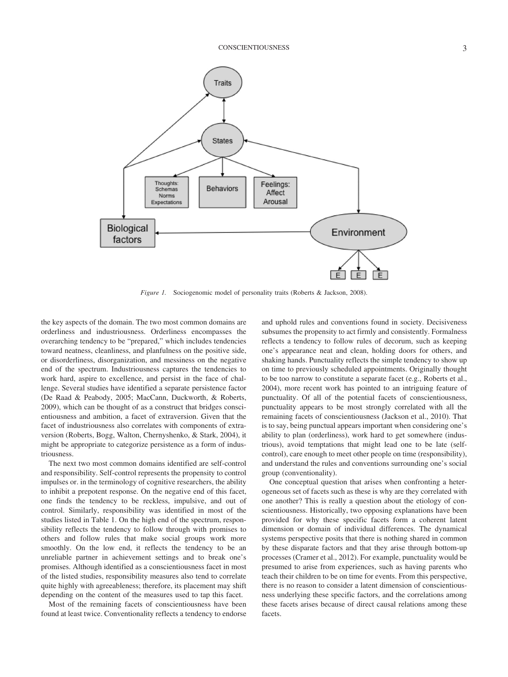

*Figure 1.* Sociogenomic model of personality traits (Roberts & Jackson, 2008).

the key aspects of the domain. The two most common domains are orderliness and industriousness. Orderliness encompasses the overarching tendency to be "prepared," which includes tendencies toward neatness, cleanliness, and planfulness on the positive side, or disorderliness, disorganization, and messiness on the negative end of the spectrum. Industriousness captures the tendencies to work hard, aspire to excellence, and persist in the face of challenge. Several studies have identified a separate persistence factor (De Raad & Peabody, 2005; MacCann, Duckworth, & Roberts, 2009), which can be thought of as a construct that bridges conscientiousness and ambition, a facet of extraversion. Given that the facet of industriousness also correlates with components of extraversion (Roberts, Bogg, Walton, Chernyshenko, & Stark, 2004), it might be appropriate to categorize persistence as a form of industriousness.

The next two most common domains identified are self-control and responsibility. Self-control represents the propensity to control impulses or. in the terminology of cognitive researchers, the ability to inhibit a prepotent response. On the negative end of this facet, one finds the tendency to be reckless, impulsive, and out of control. Similarly, responsibility was identified in most of the studies listed in Table 1. On the high end of the spectrum, responsibility reflects the tendency to follow through with promises to others and follow rules that make social groups work more smoothly. On the low end, it reflects the tendency to be an unreliable partner in achievement settings and to break one's promises. Although identified as a conscientiousness facet in most of the listed studies, responsibility measures also tend to correlate quite highly with agreeableness; therefore, its placement may shift depending on the content of the measures used to tap this facet.

Most of the remaining facets of conscientiousness have been found at least twice. Conventionality reflects a tendency to endorse

and uphold rules and conventions found in society. Decisiveness subsumes the propensity to act firmly and consistently. Formalness reflects a tendency to follow rules of decorum, such as keeping one's appearance neat and clean, holding doors for others, and shaking hands. Punctuality reflects the simple tendency to show up on time to previously scheduled appointments. Originally thought to be too narrow to constitute a separate facet (e.g., Roberts et al., 2004), more recent work has pointed to an intriguing feature of punctuality. Of all of the potential facets of conscientiousness, punctuality appears to be most strongly correlated with all the remaining facets of conscientiousness (Jackson et al., 2010). That is to say, being punctual appears important when considering one's ability to plan (orderliness), work hard to get somewhere (industrious), avoid temptations that might lead one to be late (selfcontrol), care enough to meet other people on time (responsibility), and understand the rules and conventions surrounding one's social group (conventionality).

One conceptual question that arises when confronting a heterogeneous set of facets such as these is why are they correlated with one another? This is really a question about the etiology of conscientiousness. Historically, two opposing explanations have been provided for why these specific facets form a coherent latent dimension or domain of individual differences. The dynamical systems perspective posits that there is nothing shared in common by these disparate factors and that they arise through bottom-up processes (Cramer et al., 2012). For example, punctuality would be presumed to arise from experiences, such as having parents who teach their children to be on time for events. From this perspective, there is no reason to consider a latent dimension of conscientiousness underlying these specific factors, and the correlations among these facets arises because of direct causal relations among these facets.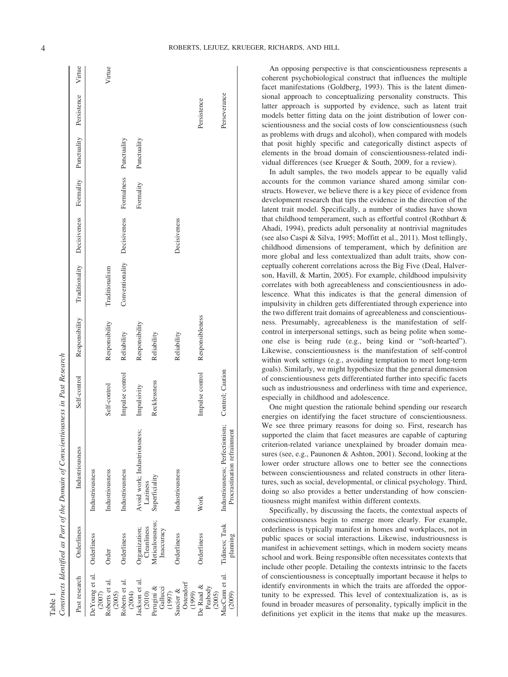| Table 1                          |                               | Constructs Identified as Part of the Domain of Conscientiousness in Past Research |                 |                 |                              |              |                        |             |              |        |
|----------------------------------|-------------------------------|-----------------------------------------------------------------------------------|-----------------|-----------------|------------------------------|--------------|------------------------|-------------|--------------|--------|
| Past research                    | Orderliness                   | Industriousness                                                                   | Self-control    | Responsibility  | Traditionality               | Decisiveness | Formality              | Punctuality | Persistence  | Virtue |
| DeYoung et al.<br>(2007)         | Orderliness                   | Industriousness                                                                   |                 |                 |                              |              |                        |             |              |        |
| Roberts et al.<br>(2005)         | Order                         | Industriousness                                                                   | Self-control    | Responsibility  | Traditionalism               |              |                        |             |              | Virtue |
| Roberts et al.<br>(2004)         | Orderliness                   | Industriousness                                                                   | Impulse control | Reliability     | Conventionality Decisiveness |              | Formalness Punctuality |             |              |        |
| Jackson et al.<br>(2010)         | Organization;<br>Cleanliness  | Avoid work; Industriousness;<br>Laziness                                          | Impulsivity     | Responsibility  |                              |              | Formality              | Punctuality |              |        |
| Perugini &<br>Gallucci<br>(1997) | Meticulousness;<br>Inaccuracy | Superficiality                                                                    | Recklessness    | Reliability     |                              |              |                        |             |              |        |
| Ostendorf<br>Saucier &<br>(1999) | Orderliness                   | Industriousness                                                                   |                 | Reliability     |                              | Decisiveness |                        |             |              |        |
| De Raad &<br>Peabody<br>(2005)   | Orderliness                   | Work                                                                              | Impulse control | Responsibleness |                              |              |                        |             | Persistence  |        |
| MacCann et al.<br>(2009)         | Tidiness; Task<br>planning    | Industriousness; Perfectionism; Control; Caution<br>Procrastination refrainment   |                 |                 |                              |              |                        |             | Perseverance |        |
|                                  |                               |                                                                                   |                 |                 |                              |              |                        |             |              |        |

An opposing perspective is that conscientiousness represents a coherent psychobiological construct that influences the multiple facet manifestations (Goldberg, 1993). This is the latent dimensional approach to conceptualizing personality constructs. This latter approach is supported by evidence, such as latent trait models better fitting data on the joint distribution of lower conscientiousness and the social costs of low conscientiousness (such as problems with drugs and alcohol), when compared with models that posit highly specific and categorically distinct aspects of elements in the broad domain of conscientiousness-related individual differences (see Krueger & South, 2009, for a review).

In adult samples, the two models appear to be equally valid accounts for the common variance shared among similar constructs. However, we believe there is a key piece of evidence from development research that tips the evidence in the direction of the latent trait model. Specifically, a number of studies have shown that childhood temperament, such as effortful control (Rothbart & Ahadi, 1994), predicts adult personality at nontrivial magnitudes (see also Caspi & Silva, 1995; Moffitt et al., 2011). Most tellingly, childhood dimensions of temperament, which by definition are more global and less contextualized than adult traits, show conceptually coherent correlations across the Big Five (Deal, Halverson, Havill, & Martin, 2005). For example, childhood impulsivity correlates with both agreeableness and conscientiousness in adolescence. What this indicates is that the general dimension of impulsivity in children gets differentiated through experience into the two different trait domains of agreeableness and conscientiousness. Presumably, agreeableness is the manifestation of selfcontrol in interpersonal settings, such as being polite when someone else is being rude (e.g., being kind or "soft-hearted"). Likewise, conscientiousness is the manifestation of self-control within work settings (e.g., avoiding temptation to meet long-term goals). Similarly, we might hypothesize that the general dimension of conscientiousness gets differentiated further into specific facets such as industriousness and orderliness with time and experience, especially in childhood and adolescence.

One might question the rationale behind spending our research energies on identifying the facet structure of conscientiousness. We see three primary reasons for doing so. First, research has supported the claim that facet measures are capable of capturing criterion-related variance unexplained by broader domain measures (see, e.g., Paunonen & Ashton, 2001). Second, looking at the lower order structure allows one to better see the connections between conscientiousness and related constructs in other literatures, such as social, developmental, or clinical psychology. Third, doing so also provides a better understanding of how conscientiousness might manifest within different contexts.

Specifically, by discussing the facets, the contextual aspects of conscientiousness begin to emerge more clearly. For example, orderliness is typically manifest in homes and workplaces, not in public spaces or social interactions. Likewise, industriousness is manifest in achievement settings, which in modern society means school and work. Being responsible often necessitates contexts that include other people. Detailing the contexts intrinsic to the facets of conscientiousness is conceptually important because it helps to identify environments in which the traits are afforded the opportunity to be expressed. This level of contextualization is, as is found in broader measures of personality, typically implicit in the definitions yet explicit in the items that make up the measures.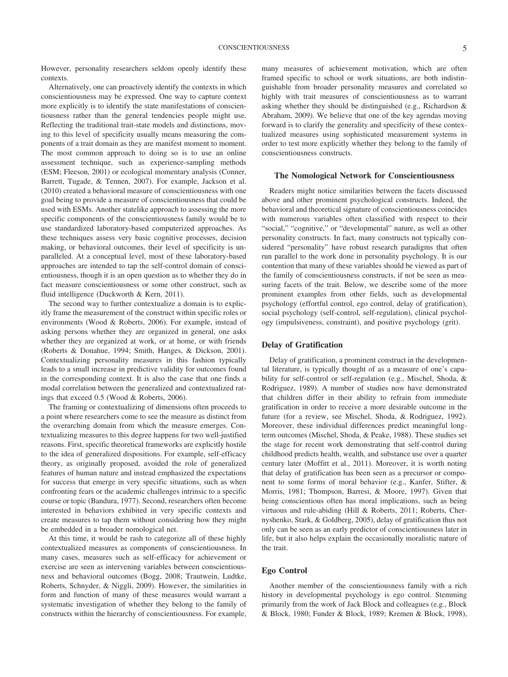However, personality researchers seldom openly identify these contexts.

Alternatively, one can proactively identify the contexts in which conscientiousness may be expressed. One way to capture context more explicitly is to identify the state manifestations of conscientiousness rather than the general tendencies people might use. Reflecting the traditional trait-state models and distinctions, moving to this level of specificity usually means measuring the components of a trait domain as they are manifest moment to moment. The most common approach to doing so is to use an online assessment technique, such as experience-sampling methods (ESM; Fleeson, 2001) or ecological momentary analysis (Conner, Barrett, Tugade, & Tennen, 2007). For example, Jackson et al. (2010) created a behavioral measure of conscientiousness with one goal being to provide a measure of conscientiousness that could be used with ESMs. Another statelike approach to assessing the more specific components of the conscientiousness family would be to use standardized laboratory-based computerized approaches. As these techniques assess very basic cognitive processes, decision making, or behavioral outcomes, their level of specificity is unparalleled. At a conceptual level, most of these laboratory-based approaches are intended to tap the self-control domain of conscientiousness, though it is an open question as to whether they do in fact measure conscientiousness or some other construct, such as fluid intelligence (Duckworth & Kern, 2011).

The second way to further contextualize a domain is to explicitly frame the measurement of the construct within specific roles or environments (Wood & Roberts, 2006). For example, instead of asking persons whether they are organized in general, one asks whether they are organized at work, or at home, or with friends (Roberts & Donahue, 1994; Smith, Hanges, & Dickson, 2001). Contextualizing personality measures in this fashion typically leads to a small increase in predictive validity for outcomes found in the corresponding context. It is also the case that one finds a modal correlation between the generalized and contextualized ratings that exceed 0.5 (Wood & Roberts, 2006).

The framing or contextualizing of dimensions often proceeds to a point where researchers come to see the measure as distinct from the overarching domain from which the measure emerges. Contextualizing measures to this degree happens for two well-justified reasons. First, specific theoretical frameworks are explicitly hostile to the idea of generalized dispositions. For example, self-efficacy theory, as originally proposed, avoided the role of generalized features of human nature and instead emphasized the expectations for success that emerge in very specific situations, such as when confronting fears or the academic challenges intrinsic to a specific course or topic (Bandura, 1977). Second, researchers often become interested in behaviors exhibited in very specific contexts and create measures to tap them without considering how they might be embedded in a broader nomological net.

At this time, it would be rash to categorize all of these highly contextualized measures as components of conscientiousness. In many cases, measures such as self-efficacy for achievement or exercise are seen as intervening variables between conscientiousness and behavioral outcomes (Bogg, 2008; Trautwein, Ludtke, Roberts, Schnyder, & Niggli, 2009). However, the similarities in form and function of many of these measures would warrant a systematic investigation of whether they belong to the family of constructs within the hierarchy of conscientiousness. For example, many measures of achievement motivation, which are often framed specific to school or work situations, are both indistinguishable from broader personality measures and correlated so highly with trait measures of conscientiousness as to warrant asking whether they should be distinguished (e.g., Richardson & Abraham, 2009). We believe that one of the key agendas moving forward is to clarify the generality and specificity of these contextualized measures using sophisticated measurement systems in order to test more explicitly whether they belong to the family of conscientiousness constructs.

#### **The Nomological Network for Conscientiousness**

Readers might notice similarities between the facets discussed above and other prominent psychological constructs. Indeed, the behavioral and theoretical signature of conscientiousness coincides with numerous variables often classified with respect to their "social," "cognitive," or "developmental" nature, as well as other personality constructs. In fact, many constructs not typically considered "personality" have robust research paradigms that often run parallel to the work done in personality psychology. It is our contention that many of these variables should be viewed as part of the family of conscientiousness constructs, if not be seen as measuring facets of the trait. Below, we describe some of the more prominent examples from other fields, such as developmental psychology (effortful control, ego control, delay of gratification), social psychology (self-control, self-regulation), clinical psychology (impulsiveness, constraint), and positive psychology (grit).

#### **Delay of Gratification**

Delay of gratification, a prominent construct in the developmental literature, is typically thought of as a measure of one's capability for self-control or self-regulation (e.g., Mischel, Shoda, & Rodriguez, 1989). A number of studies now have demonstrated that children differ in their ability to refrain from immediate gratification in order to receive a more desirable outcome in the future (for a review, see Mischel, Shoda, & Rodriguez, 1992). Moreover, these individual differences predict meaningful longterm outcomes (Mischel, Shoda, & Peake, 1988). These studies set the stage for recent work demonstrating that self-control during childhood predicts health, wealth, and substance use over a quarter century later (Moffitt et al., 2011). Moreover, it is worth noting that delay of gratification has been seen as a precursor or component to some forms of moral behavior (e.g., Kanfer, Stifter, & Morris, 1981; Thompson, Barresi, & Moore, 1997). Given that being conscientious often has moral implications, such as being virtuous and rule-abiding (Hill & Roberts, 2011; Roberts, Chernyshenko, Stark, & Goldberg, 2005), delay of gratification thus not only can be seen as an early predictor of conscientiousness later in life, but it also helps explain the occasionally moralistic nature of the trait.

#### **Ego Control**

Another member of the conscientiousness family with a rich history in developmental psychology is ego control. Stemming primarily from the work of Jack Block and colleagues (e.g., Block & Block, 1980; Funder & Block, 1989; Kremen & Block, 1998),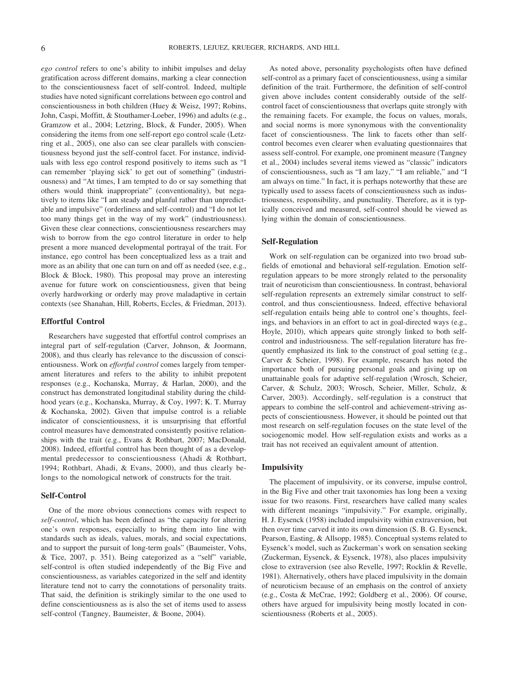*ego control* refers to one's ability to inhibit impulses and delay gratification across different domains, marking a clear connection to the conscientiousness facet of self-control. Indeed, multiple studies have noted significant correlations between ego control and conscientiousness in both children (Huey & Weisz, 1997; Robins, John, Caspi, Moffitt, & Stouthamer-Loeber, 1996) and adults (e.g., Gramzow et al., 2004; Letzring, Block, & Funder, 2005). When considering the items from one self-report ego control scale (Letzring et al., 2005), one also can see clear parallels with conscientiousness beyond just the self-control facet. For instance, individuals with less ego control respond positively to items such as "I can remember 'playing sick' to get out of something" (industriousness) and "At times, I am tempted to do or say something that others would think inappropriate" (conventionality), but negatively to items like "I am steady and planful rather than unpredictable and impulsive" (orderliness and self-control) and "I do not let too many things get in the way of my work" (industriousness). Given these clear connections, conscientiousness researchers may wish to borrow from the ego control literature in order to help present a more nuanced developmental portrayal of the trait. For instance, ego control has been conceptualized less as a trait and more as an ability that one can turn on and off as needed (see, e.g., Block & Block, 1980). This proposal may prove an interesting avenue for future work on conscientiousness, given that being overly hardworking or orderly may prove maladaptive in certain contexts (see Shanahan, Hill, Roberts, Eccles, & Friedman, 2013).

#### **Effortful Control**

Researchers have suggested that effortful control comprises an integral part of self-regulation (Carver, Johnson, & Joormann, 2008), and thus clearly has relevance to the discussion of conscientiousness. Work on *effortful control* comes largely from temperament literatures and refers to the ability to inhibit prepotent responses (e.g., Kochanska, Murray, & Harlan, 2000), and the construct has demonstrated longitudinal stability during the childhood years (e.g., Kochanska, Murray, & Coy, 1997; K. T. Murray & Kochanska, 2002). Given that impulse control is a reliable indicator of conscientiousness, it is unsurprising that effortful control measures have demonstrated consistently positive relationships with the trait (e.g., Evans & Rothbart, 2007; MacDonald, 2008). Indeed, effortful control has been thought of as a developmental predecessor to conscientiousness (Ahadi & Rothbart, 1994; Rothbart, Ahadi, & Evans, 2000), and thus clearly belongs to the nomological network of constructs for the trait.

#### **Self-Control**

One of the more obvious connections comes with respect to *self-control*, which has been defined as "the capacity for altering one's own responses, especially to bring them into line with standards such as ideals, values, morals, and social expectations, and to support the pursuit of long-term goals" (Baumeister, Vohs, & Tice, 2007, p. 351). Being categorized as a "self" variable, self-control is often studied independently of the Big Five and conscientiousness, as variables categorized in the self and identity literature tend not to carry the connotations of personality traits. That said, the definition is strikingly similar to the one used to define conscientiousness as is also the set of items used to assess self-control (Tangney, Baumeister, & Boone, 2004).

As noted above, personality psychologists often have defined self-control as a primary facet of conscientiousness, using a similar definition of the trait. Furthermore, the definition of self-control given above includes content considerably outside of the selfcontrol facet of conscientiousness that overlaps quite strongly with the remaining facets. For example, the focus on values, morals, and social norms is more synonymous with the conventionality facet of conscientiousness. The link to facets other than selfcontrol becomes even clearer when evaluating questionnaires that assess self-control. For example, one prominent measure (Tangney et al., 2004) includes several items viewed as "classic" indicators of conscientiousness, such as "I am lazy," "I am reliable," and "I am always on time." In fact, it is perhaps noteworthy that these are typically used to assess facets of conscientiousness such as industriousness, responsibility, and punctuality. Therefore, as it is typically conceived and measured, self-control should be viewed as lying within the domain of conscientiousness.

#### **Self-Regulation**

Work on self-regulation can be organized into two broad subfields of emotional and behavioral self-regulation. Emotion selfregulation appears to be more strongly related to the personality trait of neuroticism than conscientiousness. In contrast, behavioral self-regulation represents an extremely similar construct to selfcontrol, and thus conscientiousness. Indeed, effective behavioral self-regulation entails being able to control one's thoughts, feelings, and behaviors in an effort to act in goal-directed ways (e.g., Hoyle, 2010), which appears quite strongly linked to both selfcontrol and industriousness. The self-regulation literature has frequently emphasized its link to the construct of goal setting (e.g., Carver & Scheier, 1998). For example, research has noted the importance both of pursuing personal goals and giving up on unattainable goals for adaptive self-regulation (Wrosch, Scheier, Carver, & Schulz, 2003; Wrosch, Scheier, Miller, Schulz, & Carver, 2003). Accordingly, self-regulation is a construct that appears to combine the self-control and achievement-striving aspects of conscientiousness. However, it should be pointed out that most research on self-regulation focuses on the state level of the sociogenomic model. How self-regulation exists and works as a trait has not received an equivalent amount of attention.

#### **Impulsivity**

The placement of impulsivity, or its converse, impulse control, in the Big Five and other trait taxonomies has long been a vexing issue for two reasons. First, researchers have called many scales with different meanings "impulsivity." For example, originally, H. J. Eysenck (1958) included impulsivity within extraversion, but then over time carved it into its own dimension (S. B. G. Eysenck, Pearson, Easting, & Allsopp, 1985). Conceptual systems related to Eysenck's model, such as Zuckerman's work on sensation seeking (Zuckerman, Eysenck, & Eysenck, 1978), also places impulsivity close to extraversion (see also Revelle, 1997; Rocklin & Revelle, 1981). Alternatively, others have placed impulsivity in the domain of neuroticism because of an emphasis on the control of anxiety (e.g., Costa & McCrae, 1992; Goldberg et al., 2006). Of course, others have argued for impulsivity being mostly located in conscientiousness (Roberts et al., 2005).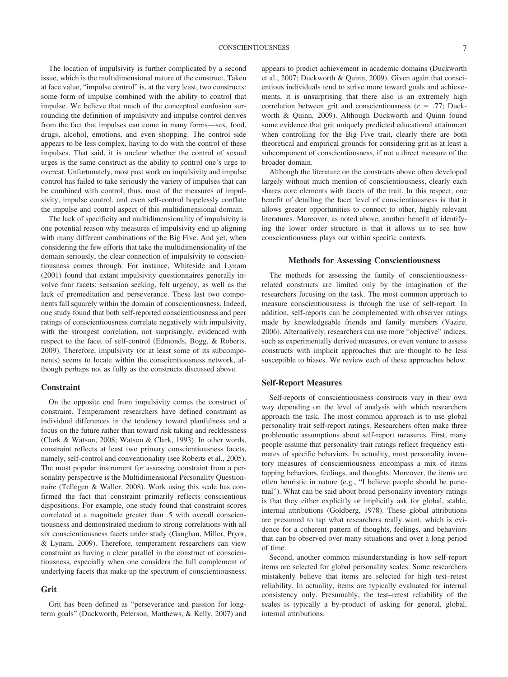The location of impulsivity is further complicated by a second issue, which is the multidimensional nature of the construct. Taken at face value, "impulse control" is, at the very least, two constructs: some form of impulse combined with the ability to control that impulse. We believe that much of the conceptual confusion surrounding the definition of impulsivity and impulse control derives from the fact that impulses can come in many forms—sex, food, drugs, alcohol, emotions, and even shopping. The control side appears to be less complex, having to do with the control of these impulses. That said, it is unclear whether the control of sexual urges is the same construct as the ability to control one's urge to overeat. Unfortunately, most past work on impulsivity and impulse control has failed to take seriously the variety of impulses that can be combined with control; thus, most of the measures of impulsivity, impulse control, and even self-control hopelessly conflate the impulse and control aspect of this multidimensional domain.

The lack of specificity and multidimensionality of impulsivity is one potential reason why measures of impulsivity end up aligning with many different combinations of the Big Five. And yet, when considering the few efforts that take the multidimensionality of the domain seriously, the clear connection of impulsivity to conscientiousness comes through. For instance, Whiteside and Lynam (2001) found that extant impulsivity questionnaires generally involve four facets: sensation seeking, felt urgency, as well as the lack of premeditation and perseverance. These last two components fall squarely within the domain of conscientiousness. Indeed, one study found that both self-reported conscientiousness and peer ratings of conscientiousness correlate negatively with impulsivity, with the strongest correlation, not surprisingly, evidenced with respect to the facet of self-control (Edmonds, Bogg, & Roberts, 2009). Therefore, impulsivity (or at least some of its subcomponents) seems to locate within the conscientiousness network, although perhaps not as fully as the constructs discussed above.

#### **Constraint**

On the opposite end from impulsivity comes the construct of constraint. Temperament researchers have defined constraint as individual differences in the tendency toward planfulness and a focus on the future rather than toward risk taking and recklessness (Clark & Watson, 2008; Watson & Clark, 1993). In other words, constraint reflects at least two primary conscientiousness facets, namely, self-control and conventionality (see Roberts et al., 2005). The most popular instrument for assessing constraint from a personality perspective is the Multidimensional Personality Questionnaire (Tellegen & Waller, 2008). Work using this scale has confirmed the fact that constraint primarily reflects conscientious dispositions. For example, one study found that constraint scores correlated at a magnitude greater than .5 with overall conscientiousness and demonstrated medium to strong correlations with all six conscientiousness facets under study (Gaughan, Miller, Pryor, & Lynam, 2009). Therefore, temperament researchers can view constraint as having a clear parallel in the construct of conscientiousness, especially when one considers the full complement of underlying facets that make up the spectrum of conscientiousness.

#### **Grit**

Grit has been defined as "perseverance and passion for longterm goals" (Duckworth, Peterson, Matthews, & Kelly, 2007) and appears to predict achievement in academic domains (Duckworth et al., 2007; Duckworth & Quinn, 2009). Given again that conscientious individuals tend to strive more toward goals and achievements, it is unsurprising that there also is an extremely high correlation between grit and conscientiousness  $(r = .77;$  Duckworth & Quinn, 2009). Although Duckworth and Quinn found some evidence that grit uniquely predicted educational attainment when controlling for the Big Five trait, clearly there are both theoretical and empirical grounds for considering grit as at least a subcomponent of conscientiousness, if not a direct measure of the broader domain.

Although the literature on the constructs above often developed largely without much mention of conscientiousness, clearly each shares core elements with facets of the trait. In this respect, one benefit of detailing the facet level of conscientiousness is that it allows greater opportunities to connect to other, highly relevant literatures. Moreover, as noted above, another benefit of identifying the lower order structure is that it allows us to see how conscientiousness plays out within specific contexts.

#### **Methods for Assessing Conscientiousness**

The methods for assessing the family of conscientiousnessrelated constructs are limited only by the imagination of the researchers focusing on the task. The most common approach to measure conscientiousness is through the use of self-report. In addition, self-reports can be complemented with observer ratings made by knowledgeable friends and family members (Vazire, 2006). Alternatively, researchers can use more "objective" indices, such as experimentally derived measures, or even venture to assess constructs with implicit approaches that are thought to be less susceptible to biases. We review each of these approaches below.

#### **Self-Report Measures**

Self-reports of conscientiousness constructs vary in their own way depending on the level of analysis with which researchers approach the task. The most common approach is to use global personality trait self-report ratings. Researchers often make three problematic assumptions about self-report measures. First, many people assume that personality trait ratings reflect frequency estimates of specific behaviors. In actuality, most personality inventory measures of conscientiousness encompass a mix of items tapping behaviors, feelings, and thoughts. Moreover, the items are often heuristic in nature (e.g., "I believe people should be punctual"). What can be said about broad personality inventory ratings is that they either explicitly or implicitly ask for global, stable, internal attributions (Goldberg, 1978). These global attributions are presumed to tap what researchers really want, which is evidence for a coherent pattern of thoughts, feelings, and behaviors that can be observed over many situations and over a long period of time.

Second, another common misunderstanding is how self-report items are selected for global personality scales. Some researchers mistakenly believe that items are selected for high test–retest reliability. In actuality, items are typically evaluated for internal consistency only. Presumably, the test–retest reliability of the scales is typically a by-product of asking for general, global, internal attributions.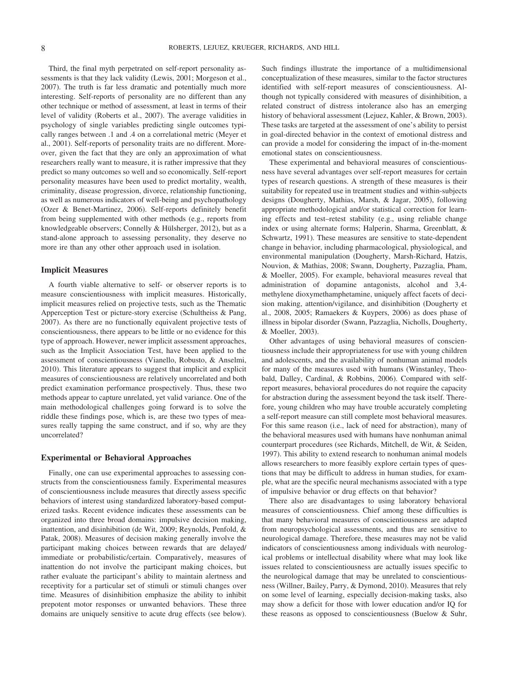Third, the final myth perpetrated on self-report personality assessments is that they lack validity (Lewis, 2001; Morgeson et al., 2007). The truth is far less dramatic and potentially much more interesting. Self-reports of personality are no different than any other technique or method of assessment, at least in terms of their level of validity (Roberts et al., 2007). The average validities in psychology of single variables predicting single outcomes typically ranges between .1 and .4 on a correlational metric (Meyer et al., 2001). Self-reports of personality traits are no different. Moreover, given the fact that they are only an approximation of what researchers really want to measure, it is rather impressive that they predict so many outcomes so well and so economically. Self-report personality measures have been used to predict mortality, wealth, criminality, disease progression, divorce, relationship functioning, as well as numerous indicators of well-being and psychopathology (Ozer & Benet-Martinez, 2006). Self-reports definitely benefit from being supplemented with other methods (e.g., reports from knowledgeable observers; Connelly & Hülsherger, 2012), but as a stand-alone approach to assessing personality, they deserve no more ire than any other other approach used in isolation.

#### **Implicit Measures**

A fourth viable alternative to self- or observer reports is to measure conscientiousness with implicit measures. Historically, implicit measures relied on projective tests, such as the Thematic Apperception Test or picture-story exercise (Schultheiss & Pang, 2007). As there are no functionally equivalent projective tests of conscientiousness, there appears to be little or no evidence for this type of approach. However, newer implicit assessment approaches, such as the Implicit Association Test, have been applied to the assessment of conscientiousness (Vianello, Robusto, & Anselmi, 2010). This literature appears to suggest that implicit and explicit measures of conscientiousness are relatively uncorrelated and both predict examination performance prospectively. Thus, these two methods appear to capture unrelated, yet valid variance. One of the main methodological challenges going forward is to solve the riddle these findings pose, which is, are these two types of measures really tapping the same construct, and if so, why are they uncorrelated?

#### **Experimental or Behavioral Approaches**

Finally, one can use experimental approaches to assessing constructs from the conscientiousness family. Experimental measures of conscientiousness include measures that directly assess specific behaviors of interest using standardized laboratory-based computerized tasks. Recent evidence indicates these assessments can be organized into three broad domains: impulsive decision making, inattention, and disinhibition (de Wit, 2009; Reynolds, Penfold, & Patak, 2008). Measures of decision making generally involve the participant making choices between rewards that are delayed/ immediate or probabilistic/certain. Comparatively, measures of inattention do not involve the participant making choices, but rather evaluate the participant's ability to maintain alertness and receptivity for a particular set of stimuli or stimuli changes over time. Measures of disinhibition emphasize the ability to inhibit prepotent motor responses or unwanted behaviors. These three domains are uniquely sensitive to acute drug effects (see below).

Such findings illustrate the importance of a multidimensional conceptualization of these measures, similar to the factor structures identified with self-report measures of conscientiousness. Although not typically considered with measures of disinhibition, a related construct of distress intolerance also has an emerging history of behavioral assessment (Lejuez, Kahler, & Brown, 2003). These tasks are targeted at the assessment of one's ability to persist in goal-directed behavior in the context of emotional distress and can provide a model for considering the impact of in-the-moment emotional states on conscientiousness.

These experimental and behavioral measures of conscientiousness have several advantages over self-report measures for certain types of research questions. A strength of these measures is their suitability for repeated use in treatment studies and within-subjects designs (Dougherty, Mathias, Marsh, & Jagar, 2005), following appropriate methodological and/or statistical correction for learning effects and test–retest stability (e.g., using reliable change index or using alternate forms; Halperin, Sharma, Greenblatt, & Schwartz, 1991). These measures are sensitive to state-dependent change in behavior, including pharmacological, physiological, and environmental manipulation (Dougherty, Marsh-Richard, Hatzis, Nouvion, & Mathias, 2008; Swann, Dougherty, Pazzaglia, Pham, & Moeller, 2005). For example, behavioral measures reveal that administration of dopamine antagonists, alcohol and 3,4 methylene dioxymethamphetamine, uniquely affect facets of decision making, attention/vigilance, and disinhibition (Dougherty et al., 2008, 2005; Ramaekers & Kuypers, 2006) as does phase of illness in bipolar disorder (Swann, Pazzaglia, Nicholls, Dougherty, & Moeller, 2003).

Other advantages of using behavioral measures of conscientiousness include their appropriateness for use with young children and adolescents, and the availability of nonhuman animal models for many of the measures used with humans (Winstanley, Theobald, Dalley, Cardinal, & Robbins, 2006). Compared with selfreport measures, behavioral procedures do not require the capacity for abstraction during the assessment beyond the task itself. Therefore, young children who may have trouble accurately completing a self-report measure can still complete most behavioral measures. For this same reason (i.e., lack of need for abstraction), many of the behavioral measures used with humans have nonhuman animal counterpart procedures (see Richards, Mitchell, de Wit, & Seiden, 1997). This ability to extend research to nonhuman animal models allows researchers to more feasibly explore certain types of questions that may be difficult to address in human studies, for example, what are the specific neural mechanisms associated with a type of impulsive behavior or drug effects on that behavior?

There also are disadvantages to using laboratory behavioral measures of conscientiousness. Chief among these difficulties is that many behavioral measures of conscientiousness are adapted from neuropsychological assessments, and thus are sensitive to neurological damage. Therefore, these measures may not be valid indicators of conscientiousness among individuals with neurological problems or intellectual disability where what may look like issues related to conscientiousness are actually issues specific to the neurological damage that may be unrelated to conscientiousness (Willner, Bailey, Parry, & Dymond, 2010). Measures that rely on some level of learning, especially decision-making tasks, also may show a deficit for those with lower education and/or IQ for these reasons as opposed to conscientiousness (Buelow & Suhr,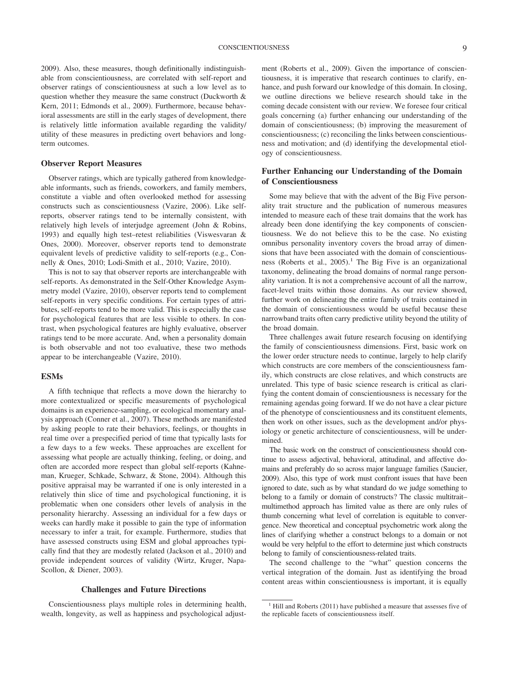2009). Also, these measures, though definitionally indistinguishable from conscientiousness, are correlated with self-report and observer ratings of conscientiousness at such a low level as to question whether they measure the same construct (Duckworth & Kern, 2011; Edmonds et al., 2009). Furthermore, because behavioral assessments are still in the early stages of development, there is relatively little information available regarding the validity/

#### **Observer Report Measures**

term outcomes.

Observer ratings, which are typically gathered from knowledgeable informants, such as friends, coworkers, and family members, constitute a viable and often overlooked method for assessing constructs such as conscientiousness (Vazire, 2006). Like selfreports, observer ratings tend to be internally consistent, with relatively high levels of interjudge agreement (John & Robins, 1993) and equally high test–retest reliabilities (Viswesvaran & Ones, 2000). Moreover, observer reports tend to demonstrate equivalent levels of predictive validity to self-reports (e.g., Connelly & Ones, 2010; Lodi-Smith et al., 2010; Vazire, 2010).

utility of these measures in predicting overt behaviors and long-

This is not to say that observer reports are interchangeable with self-reports. As demonstrated in the Self-Other Knowledge Asymmetry model (Vazire, 2010), observer reports tend to complement self-reports in very specific conditions. For certain types of attributes, self-reports tend to be more valid. This is especially the case for psychological features that are less visible to others. In contrast, when psychological features are highly evaluative, observer ratings tend to be more accurate. And, when a personality domain is both observable and not too evaluative, these two methods appear to be interchangeable (Vazire, 2010).

#### **ESMs**

A fifth technique that reflects a move down the hierarchy to more contextualized or specific measurements of psychological domains is an experience-sampling, or ecological momentary analysis approach (Conner et al., 2007). These methods are manifested by asking people to rate their behaviors, feelings, or thoughts in real time over a prespecified period of time that typically lasts for a few days to a few weeks. These approaches are excellent for assessing what people are actually thinking, feeling, or doing, and often are accorded more respect than global self-reports (Kahneman, Krueger, Schkade, Schwarz, & Stone, 2004). Although this positive appraisal may be warranted if one is only interested in a relatively thin slice of time and psychological functioning, it is problematic when one considers other levels of analysis in the personality hierarchy. Assessing an individual for a few days or weeks can hardly make it possible to gain the type of information necessary to infer a trait, for example. Furthermore, studies that have assessed constructs using ESM and global approaches typically find that they are modestly related (Jackson et al., 2010) and provide independent sources of validity (Wirtz, Kruger, Napa-Scollon, & Diener, 2003).

#### **Challenges and Future Directions**

Conscientiousness plays multiple roles in determining health, wealth, longevity, as well as happiness and psychological adjustment (Roberts et al., 2009). Given the importance of conscientiousness, it is imperative that research continues to clarify, enhance, and push forward our knowledge of this domain. In closing, we outline directions we believe research should take in the coming decade consistent with our review. We foresee four critical goals concerning (a) further enhancing our understanding of the domain of conscientiousness; (b) improving the measurement of conscientiousness; (c) reconciling the links between conscientiousness and motivation; and (d) identifying the developmental etiology of conscientiousness.

#### **Further Enhancing our Understanding of the Domain of Conscientiousness**

Some may believe that with the advent of the Big Five personality trait structure and the publication of numerous measures intended to measure each of these trait domains that the work has already been done identifying the key components of conscientiousness. We do not believe this to be the case. No existing omnibus personality inventory covers the broad array of dimensions that have been associated with the domain of conscientiousness (Roberts et al.,  $2005$ ).<sup>1</sup> The Big Five is an organizational taxonomy, delineating the broad domains of normal range personality variation. It is not a comprehensive account of all the narrow, facet-level traits within those domains. As our review showed, further work on delineating the entire family of traits contained in the domain of conscientiousness would be useful because these narrowband traits often carry predictive utility beyond the utility of the broad domain.

Three challenges await future research focusing on identifying the family of conscientiousness dimensions. First, basic work on the lower order structure needs to continue, largely to help clarify which constructs are core members of the conscientiousness family, which constructs are close relatives, and which constructs are unrelated. This type of basic science research is critical as clarifying the content domain of conscientiousness is necessary for the remaining agendas going forward. If we do not have a clear picture of the phenotype of conscientiousness and its constituent elements, then work on other issues, such as the development and/or physiology or genetic architecture of conscientiousness, will be undermined.

The basic work on the construct of conscientiousness should continue to assess adjectival, behavioral, attitudinal, and affective domains and preferably do so across major language families (Saucier, 2009). Also, this type of work must confront issues that have been ignored to date, such as by what standard do we judge something to belong to a family or domain of constructs? The classic multitrait– multimethod approach has limited value as there are only rules of thumb concerning what level of correlation is equitable to convergence. New theoretical and conceptual psychometric work along the lines of clarifying whether a construct belongs to a domain or not would be very helpful to the effort to determine just which constructs belong to family of conscientiousness-related traits.

The second challenge to the "what" question concerns the vertical integration of the domain. Just as identifying the broad content areas within conscientiousness is important, it is equally

<sup>&</sup>lt;sup>1</sup> Hill and Roberts (2011) have published a measure that assesses five of the replicable facets of conscientiousness itself.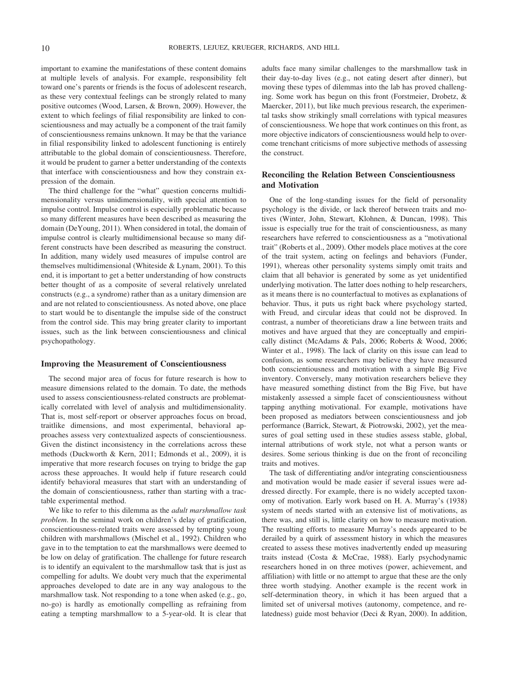important to examine the manifestations of these content domains at multiple levels of analysis. For example, responsibility felt toward one's parents or friends is the focus of adolescent research, as these very contextual feelings can be strongly related to many positive outcomes (Wood, Larsen, & Brown, 2009). However, the extent to which feelings of filial responsibility are linked to conscientiousness and may actually be a component of the trait family of conscientiousness remains unknown. It may be that the variance in filial responsibility linked to adolescent functioning is entirely attributable to the global domain of conscientiousness. Therefore, it would be prudent to garner a better understanding of the contexts that interface with conscientiousness and how they constrain expression of the domain.

The third challenge for the "what" question concerns multidimensionality versus unidimensionality, with special attention to impulse control. Impulse control is especially problematic because so many different measures have been described as measuring the domain (DeYoung, 2011). When considered in total, the domain of impulse control is clearly multidimensional because so many different constructs have been described as measuring the construct. In addition, many widely used measures of impulse control are themselves multidimensional (Whiteside & Lynam, 2001). To this end, it is important to get a better understanding of how constructs better thought of as a composite of several relatively unrelated constructs (e.g., a syndrome) rather than as a unitary dimension are and are not related to conscientiousness. As noted above, one place to start would be to disentangle the impulse side of the construct from the control side. This may bring greater clarity to important issues, such as the link between conscientiousness and clinical psychopathology.

#### **Improving the Measurement of Conscientiousness**

The second major area of focus for future research is how to measure dimensions related to the domain. To date, the methods used to assess conscientiousness-related constructs are problematically correlated with level of analysis and multidimensionality. That is, most self-report or observer approaches focus on broad, traitlike dimensions, and most experimental, behavioral approaches assess very contextualized aspects of conscientiousness. Given the distinct inconsistency in the correlations across these methods (Duckworth & Kern, 2011; Edmonds et al., 2009), it is imperative that more research focuses on trying to bridge the gap across these approaches. It would help if future research could identify behavioral measures that start with an understanding of the domain of conscientiousness, rather than starting with a tractable experimental method.

We like to refer to this dilemma as the *adult marshmallow task problem*. In the seminal work on children's delay of gratification, conscientiousness-related traits were assessed by tempting young children with marshmallows (Mischel et al., 1992). Children who gave in to the temptation to eat the marshmallows were deemed to be low on delay of gratification. The challenge for future research is to identify an equivalent to the marshmallow task that is just as compelling for adults. We doubt very much that the experimental approaches developed to date are in any way analogous to the marshmallow task. Not responding to a tone when asked (e.g., go, no-go) is hardly as emotionally compelling as refraining from eating a tempting marshmallow to a 5-year-old. It is clear that adults face many similar challenges to the marshmallow task in their day-to-day lives (e.g., not eating desert after dinner), but moving these types of dilemmas into the lab has proved challenging. Some work has begun on this front (Forstmeier, Drobetz, & Maercker, 2011), but like much previous research, the experimental tasks show strikingly small correlations with typical measures of conscientiousness. We hope that work continues on this front, as more objective indicators of conscientiousness would help to overcome trenchant criticisms of more subjective methods of assessing the construct.

#### **Reconciling the Relation Between Conscientiousness and Motivation**

One of the long-standing issues for the field of personality psychology is the divide, or lack thereof between traits and motives (Winter, John, Stewart, Klohnen, & Duncan, 1998). This issue is especially true for the trait of conscientiousness, as many researchers have referred to conscientiousness as a "motivational trait" (Roberts et al., 2009). Other models place motives at the core of the trait system, acting on feelings and behaviors (Funder, 1991), whereas other personality systems simply omit traits and claim that all behavior is generated by some as yet unidentified underlying motivation. The latter does nothing to help researchers, as it means there is no counterfactual to motives as explanations of behavior. Thus, it puts us right back where psychology started, with Freud, and circular ideas that could not be disproved. In contrast, a number of theoreticians draw a line between traits and motives and have argued that they are conceptually and empirically distinct (McAdams & Pals, 2006; Roberts & Wood, 2006; Winter et al., 1998). The lack of clarity on this issue can lead to confusion, as some researchers may believe they have measured both conscientiousness and motivation with a simple Big Five inventory. Conversely, many motivation researchers believe they have measured something distinct from the Big Five, but have mistakenly assessed a simple facet of conscientiousness without tapping anything motivational. For example, motivations have been proposed as mediators between conscientiousness and job performance (Barrick, Stewart, & Piotrowski, 2002), yet the measures of goal setting used in these studies assess stable, global, internal attributions of work style, not what a person wants or desires. Some serious thinking is due on the front of reconciling traits and motives.

The task of differentiating and/or integrating conscientiousness and motivation would be made easier if several issues were addressed directly. For example, there is no widely accepted taxonomy of motivation. Early work based on H. A. Murray's (1938) system of needs started with an extensive list of motivations, as there was, and still is, little clarity on how to measure motivation. The resulting efforts to measure Murray's needs appeared to be derailed by a quirk of assessment history in which the measures created to assess these motives inadvertently ended up measuring traits instead (Costa & McCrae, 1988). Early psychodynamic researchers honed in on three motives (power, achievement, and affiliation) with little or no attempt to argue that these are the only three worth studying. Another example is the recent work in self-determination theory, in which it has been argued that a limited set of universal motives (autonomy, competence, and relatedness) guide most behavior (Deci & Ryan, 2000). In addition,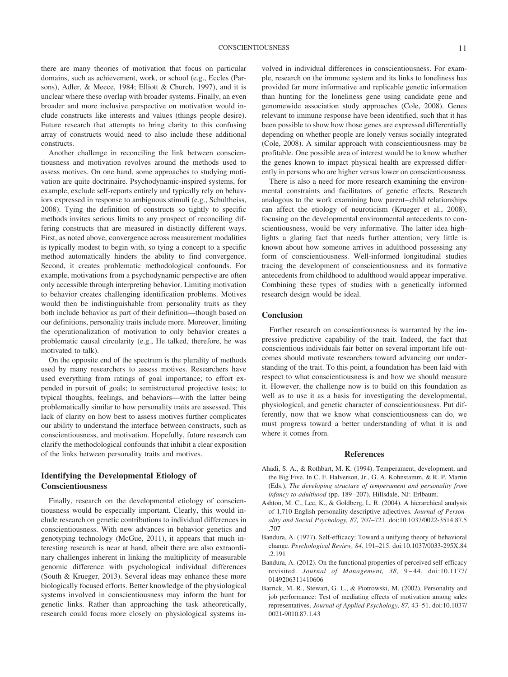there are many theories of motivation that focus on particular domains, such as achievement, work, or school (e.g., Eccles (Parsons), Adler, & Meece, 1984; Elliott & Church, 1997), and it is unclear where these overlap with broader systems. Finally, an even broader and more inclusive perspective on motivation would include constructs like interests and values (things people desire). Future research that attempts to bring clarity to this confusing array of constructs would need to also include these additional constructs.

Another challenge in reconciling the link between conscientiousness and motivation revolves around the methods used to assess motives. On one hand, some approaches to studying motivation are quite doctrinaire. Psychodynamic-inspired systems, for example, exclude self-reports entirely and typically rely on behaviors expressed in response to ambiguous stimuli (e.g., Schultheiss, 2008). Tying the definition of constructs so tightly to specific methods invites serious limits to any prospect of reconciling differing constructs that are measured in distinctly different ways. First, as noted above, convergence across measurement modalities is typically modest to begin with, so tying a concept to a specific method automatically hinders the ability to find convergence. Second, it creates problematic methodological confounds. For example, motivations from a psychodynamic perspective are often only accessible through interpreting behavior. Limiting motivation to behavior creates challenging identification problems. Motives would then be indistinguishable from personality traits as they both include behavior as part of their definition—though based on our definitions, personality traits include more. Moreover, limiting the operationalization of motivation to only behavior creates a problematic causal circularity (e.g., He talked, therefore, he was motivated to talk).

On the opposite end of the spectrum is the plurality of methods used by many researchers to assess motives. Researchers have used everything from ratings of goal importance; to effort expended in pursuit of goals; to semistructured projective tests; to typical thoughts, feelings, and behaviors—with the latter being problematically similar to how personality traits are assessed. This lack of clarity on how best to assess motives further complicates our ability to understand the interface between constructs, such as conscientiousness, and motivation. Hopefully, future research can clarify the methodological confounds that inhibit a clear exposition of the links between personality traits and motives.

#### **Identifying the Developmental Etiology of Conscientiousness**

Finally, research on the developmental etiology of conscientiousness would be especially important. Clearly, this would include research on genetic contributions to individual differences in conscientiousness. With new advances in behavior genetics and genotyping technology (McGue, 2011), it appears that much interesting research is near at hand, albeit there are also extraordinary challenges inherent in linking the multiplicity of measurable genomic difference with psychological individual differences (South & Krueger, 2013). Several ideas may enhance these more biologically focused efforts. Better knowledge of the physiological systems involved in conscientiousness may inform the hunt for genetic links. Rather than approaching the task atheoretically, research could focus more closely on physiological systems in-

volved in individual differences in conscientiousness. For example, research on the immune system and its links to loneliness has provided far more informative and replicable genetic information than hunting for the loneliness gene using candidate gene and genomewide association study approaches (Cole, 2008). Genes relevant to immune response have been identified, such that it has been possible to show how those genes are expressed differentially depending on whether people are lonely versus socially integrated (Cole, 2008). A similar approach with conscientiousness may be profitable. One possible area of interest would be to know whether the genes known to impact physical health are expressed differently in persons who are higher versus lower on conscientiousness.

There is also a need for more research examining the environmental constraints and facilitators of genetic effects. Research analogous to the work examining how parent– child relationships can affect the etiology of neuroticism (Krueger et al., 2008), focusing on the developmental environmental antecedents to conscientiousness, would be very informative. The latter idea highlights a glaring fact that needs further attention; very little is known about how someone arrives in adulthood possessing any form of conscientiousness. Well-informed longitudinal studies tracing the development of conscientiousness and its formative antecedents from childhood to adulthood would appear imperative. Combining these types of studies with a genetically informed research design would be ideal.

#### **Conclusion**

Further research on conscientiousness is warranted by the impressive predictive capability of the trait. Indeed, the fact that conscientious individuals fair better on several important life outcomes should motivate researchers toward advancing our understanding of the trait. To this point, a foundation has been laid with respect to what conscientiousness is and how we should measure it. However, the challenge now is to build on this foundation as well as to use it as a basis for investigating the developmental, physiological, and genetic character of conscientiousness. Put differently, now that we know what conscientiousness can do, we must progress toward a better understanding of what it is and where it comes from.

#### **References**

- Ahadi, S. A., & Rothbart, M. K. (1994). Temperament, development, and the Big Five. In C. F. Halverson, Jr., G. A. Kohnstamm, & R. P. Martin (Eds.), *The developing structure of temperament and personality from infancy to adulthood* (pp. 189 –207). Hillsdale, NJ: Erlbaum.
- Ashton, M. C., Lee, K., & Goldberg, L. R. (2004). A hierarchical analysis of 1,710 English personality-descriptive adjectives. *Journal of Personality and Social Psychology, 87,* 707–721. doi:10.1037/0022-3514.87.5 .707
- Bandura, A. (1977). Self-efficacy: Toward a unifying theory of behavioral change. *Psychological Review, 84,* 191–215. doi:10.1037/0033-295X.84 .2.191
- Bandura, A. (2012). On the functional properties of perceived self-efficacy revisited. *Journal of Management, 38,* 9 – 44. doi:10.1177/ 0149206311410606
- Barrick, M. R., Stewart, G. L., & Piotrowski, M. (2002). Personality and job performance: Test of mediating effects of motivation among sales representatives. *Journal of Applied Psychology, 87,* 43–51. doi:10.1037/ 0021-9010.87.1.43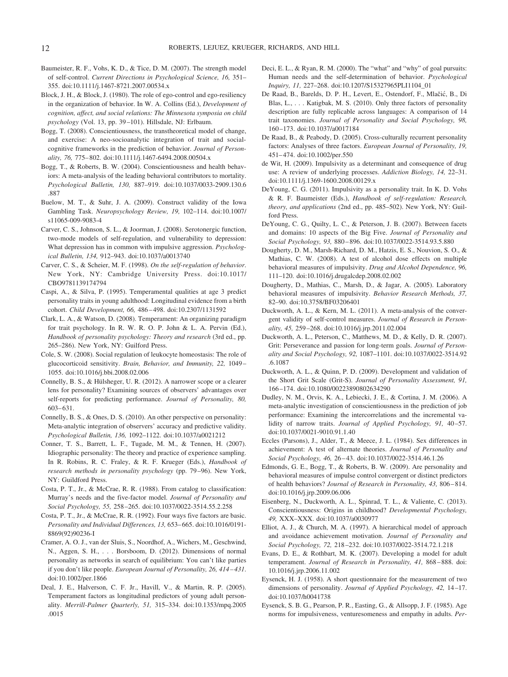- Baumeister, R. F., Vohs, K. D., & Tice, D. M. (2007). The strength model of self-control. *Current Directions in Psychological Science, 16,* 351– 355. doi:10.1111/j.1467-8721.2007.00534.x
- Block, J. H., & Block, J. (1980). The role of ego-control and ego-resiliency in the organization of behavior. In W. A. Collins (Ed.), *Development of cognition, affect, and social relations: The Minnesota symposia on child psychology* (Vol. 13, pp. 39 –101). Hillsdale, NJ: Erlbaum.
- Bogg, T. (2008). Conscientiousness, the transtheoretical model of change, and exercise: A neo-socioanalytic integration of trait and socialcognitive frameworks in the prediction of behavior. *Journal of Personality, 76,* 775– 802. doi:10.1111/j.1467-6494.2008.00504.x
- Bogg, T., & Roberts, B. W. (2004). Conscientiousness and health behaviors: A meta-analysis of the leading behavioral contributors to mortality. *Psychological Bulletin, 130,* 887–919. doi:10.1037/0033-2909.130.6 .887
- Buelow, M. T., & Suhr, J. A. (2009). Construct validity of the Iowa Gambling Task. *Neuropsychology Review, 19,* 102–114. doi:10.1007/ s11065-009-9083-4
- Carver, C. S., Johnson, S. L., & Joorman, J. (2008). Serotonergic function, two-mode models of self-regulation, and vulnerability to depression: What depression has in common with impulsive aggression. *Psychological Bulletin, 134,* 912–943. doi:10.1037/a0013740
- Carver, C. S., & Scheier, M. F. (1998). *On the self-regulation of behavior*. New York, NY: Cambridge University Press. doi:10.1017/ CBO9781139174794
- Caspi, A., & Silva, P. (1995). Temperamental qualities at age 3 predict personality traits in young adulthood: Longitudinal evidence from a birth cohort. *Child Development, 66,* 486 – 498. doi:10.2307/1131592
- Clark, L. A., & Watson, D. (2008). Temperament: An organizing paradigm for trait psychology. In R. W. R. O. P. John & L. A. Pervin (Ed.), *Handbook of personality psychology: Theory and research* (3rd ed., pp. 265–286). New York, NY: Guilford Press.
- Cole, S. W. (2008). Social regulation of leukocyte homeostasis: The role of glucocorticoid sensitivity. *Brain, Behavior, and Immunity, 22,* 1049 – 1055. doi:10.1016/j.bbi.2008.02.006
- Connelly, B. S., & Hülsheger, U. R. (2012). A narrower scope or a clearer lens for personality? Examining sources of observers' advantages over self-reports for predicting performance. *Journal of Personality, 80,* 603– 631.
- Connelly, B. S., & Ones, D. S. (2010). An other perspective on personality: Meta-analytic integration of observers' accuracy and predictive validity. *Psychological Bulletin, 136,* 1092–1122. doi:10.1037/a0021212
- Conner, T. S., Barrett, L. F., Tugade, M. M., & Tennen, H. (2007). Idiographic personality: The theory and practice of experience sampling. In R. Robins, R. C. Fraley, & R. F. Krueger (Eds.), *Handbook of research methods in personality psychology* (pp. 79 –96). New York, NY: Guildford Press.
- Costa, P. T., Jr., & McCrae, R. R. (1988). From catalog to classification: Murray's needs and the five-factor model. *Journal of Personality and Social Psychology, 55,* 258 –265. doi:10.1037/0022-3514.55.2.258
- Costa, P. T., Jr., & McCrae, R. R. (1992). Four ways five factors are basic. *Personality and Individual Differences, 13,* 653– 665. doi:10.1016/0191- 8869(92)90236-I
- Cramer, A. O. J., van der Sluis, S., Noordhof, A., Wichers, M., Geschwind, N., Aggen, S. H.,... Borsboom, D. (2012). Dimensions of normal personality as networks in search of equilibrium: You can't like parties if you don't like people. *European Journal of Personality, 26, 414 – 431*. doi:10.1002/per.1866
- Deal, J. E., Halverson, C. F. Jr., Havill, V., & Martin, R. P. (2005). Temperament factors as longitudinal predictors of young adult personality. *Merrill-Palmer Quarterly, 51,* 315–334. doi:10.1353/mpq.2005 .0015
- Deci, E. L., & Ryan, R. M. (2000). The "what" and "why" of goal pursuits: Human needs and the self-determination of behavior. *Psychological Inquiry, 11,* 227–268. doi:10.1207/S15327965PLI1104\_01
- De Raad, B., Barelds, D. P. H., Levert, E., Ostendorf, F., Mlačić, B., Di Blas, L.,... Katigbak, M. S. (2010). Only three factors of personality description are fully replicable across languages: A comparison of 14 trait taxonomies. *Journal of Personality and Social Psychology, 98,* 160 –173. doi:10.1037/a0017184
- De Raad, B., & Peabody, D. (2005). Cross-culturally recurrent personality factors: Analyses of three factors. *European Journal of Personality, 19,* 451– 474. doi:10.1002/per.550
- de Wit, H. (2009). Impulsivity as a determinant and consequence of drug use: A review of underlying processes. *Addiction Biology, 14,* 22–31. doi:10.1111/j.1369-1600.2008.00129.x
- DeYoung, C. G. (2011). Impulsivity as a personality trait. In K. D. Vohs & R. F. Baumeister (Eds.), *Handbook of self-regulation: Research, theory, and applications* (2nd ed., pp. 485–502). New York, NY: Guilford Press.
- DeYoung, C. G., Quilty, L. C., & Peterson, J. B. (2007). Between facets and domains: 10 aspects of the Big Five. *Journal of Personality and Social Psychology, 93,* 880 – 896. doi:10.1037/0022-3514.93.5.880
- Dougherty, D. M., Marsh-Richard, D. M., Hatzis, E. S., Nouvion, S. O., & Mathias, C. W. (2008). A test of alcohol dose effects on multiple behavioral measures of impulsivity. *Drug and Alcohol Dependence, 96,* 111–120. doi:10.1016/j.drugalcdep.2008.02.002
- Dougherty, D., Mathias, C., Marsh, D., & Jagar, A. (2005). Laboratory behavioral measures of impulsivity. *Behavior Research Methods, 37,* 82–90. doi:10.3758/BF03206401
- Duckworth, A. L., & Kern, M. L. (2011). A meta-analysis of the convergent validity of self-control measures. *Journal of Research in Personality, 45,* 259 –268. doi:10.1016/j.jrp.2011.02.004
- Duckworth, A. L., Peterson, C., Matthews, M. D., & Kelly, D. R. (2007). Grit: Perseverance and passion for long-term goals. *Journal of Personality and Social Psychology, 92,* 1087–1101. doi:10.1037/0022-3514.92 .6.1087
- Duckworth, A. L., & Quinn, P. D. (2009). Development and validation of the Short Grit Scale (Grit-S). *Journal of Personality Assessment, 91,* 166 –174. doi:10.1080/00223890802634290
- Dudley, N. M., Orvis, K. A., Lebiecki, J. E., & Cortina, J. M. (2006). A meta-analytic investigation of conscientiousness in the prediction of job performance: Examining the intercorrelations and the incremental validity of narrow traits. *Journal of Applied Psychology, 91, 40-57*. doi:10.1037/0021-9010.91.1.40
- Eccles (Parsons), J., Alder, T., & Meece, J. L. (1984). Sex differences in achievement: A test of alternate theories. *Journal of Personality and Social Psychology, 46,* 26 – 43. doi:10.1037/0022-3514.46.1.26
- Edmonds, G. E., Bogg, T., & Roberts, B. W. (2009). Are personality and behavioral measures of impulse control convergent or distinct predictors of health behaviors? *Journal of Research in Personality, 43,* 806 – 814. doi:10.1016/j.jrp.2009.06.006
- Eisenberg, N., Duckworth, A. L., Spinrad, T. L., & Valiente, C. (2013). Conscientiousness: Origins in childhood? *Developmental Psychology, 49,* XXX–XXX. doi:10.1037/a0030977
- Elliot, A. J., & Church, M. A. (1997). A hierarchical model of approach and avoidance achievement motivation. *Journal of Personality and Social Psychology, 72,* 218 –232. doi:10.1037/0022-3514.72.1.218
- Evans, D. E., & Rothbart, M. K. (2007). Developing a model for adult temperament. *Journal of Research in Personality, 41, 868-888. doi:* 10.1016/j.jrp.2006.11.002
- Eysenck, H. J. (1958). A short questionnaire for the measurement of two dimensions of personality. *Journal of Applied Psychology, 42,* 14 –17. doi:10.1037/h0041738
- Eysenck, S. B. G., Pearson, P. R., Easting, G., & Allsopp, J. F. (1985). Age norms for impulsiveness, venturesomeness and empathy in adults. *Per-*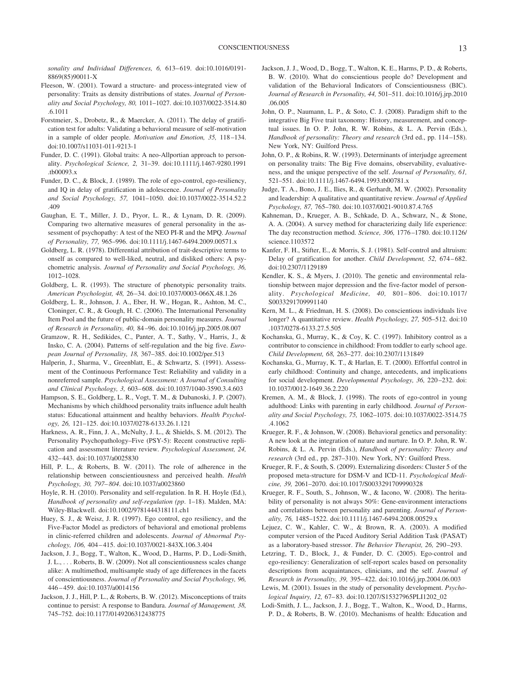*sonality and Individual Differences, 6,* 613– 619. doi:10.1016/0191- 8869(85)90011-X

- Fleeson, W. (2001). Toward a structure- and process-integrated view of personality: Traits as density distributions of states. *Journal of Personality and Social Psychology, 80,* 1011–1027. doi:10.1037/0022-3514.80 .6.1011
- Forstmeier, S., Drobetz, R., & Maercker, A. (2011). The delay of gratification test for adults: Validating a behavioral measure of self-motivation in a sample of older people. *Motivation and Emotion, 35,* 118 –134. doi:10.1007/s11031-011-9213-1
- Funder, D. C. (1991). Global traits: A neo-Allportian approach to personality. *Psychological Science, 2,* 31–39. doi:10.1111/j.1467-9280.1991 .tb00093.x
- Funder, D. C., & Block, J. (1989). The role of ego-control, ego-resiliency, and IQ in delay of gratification in adolescence. *Journal of Personality and Social Psychology, 57,* 1041–1050. doi:10.1037/0022-3514.52.2 .409
- Gaughan, E. T., Miller, J. D., Pryor, L. R., & Lynam, D. R. (2009). Comparing two alternative measures of general personality in the assessment of psychopathy: A test of the NEO PI-R and the MPQ. *Journal of Personality, 77,* 965–996. doi:10.1111/j.1467-6494.2009.00571.x
- Goldberg, L. R. (1978). Differential attribution of trait-descriptive terms to onself as compared to well-liked, neutral, and disliked others: A psychometric analysis. *Journal of Personality and Social Psychology, 36,* 1012–1028.
- Goldberg, L. R. (1993). The structure of phenotypic personality traits. *American Psychologist, 48,* 26 –34. doi:10.1037/0003-066X.48.1.26
- Goldberg, L. R., Johnson, J. A., Eber, H. W., Hogan, R., Ashton, M. C., Cloninger, C. R., & Gough, H. C. (2006). The International Personality Item Pool and the future of public-domain personality measures. *Journal of Research in Personality, 40,* 84 –96. doi:10.1016/j.jrp.2005.08.007
- Gramzow, R. H., Sedikides, C., Panter, A. T., Sathy, V., Harris, J., & Insko, C. A. (2004). Patterns of self-regulation and the big five. *European Journal of Personality, 18,* 367–385. doi:10.1002/per.513
- Halperin, J., Sharma, V., Greenblatt, E., & Schwartz, S. (1991). Assessment of the Continuous Performance Test: Reliability and validity in a nonreferred sample. *Psychological Assessment: A Journal of Consulting and Clinical Psychology, 3,* 603– 608. doi:10.1037/1040-3590.3.4.603
- Hampson, S. E., Goldberg, L. R., Vogt, T. M., & Dubanoski, J. P. (2007). Mechanisms by which childhood personality traits influence adult health status: Educational attainment and healthy behaviors. *Health Psychology, 26,* 121–125. doi:10.1037/0278-6133.26.1.121
- Harkness, A. R., Finn, J. A., McNulty, J. L., & Shields, S. M. (2012). The Personality Psychopathology–Five (PSY-5): Recent constructive replication and assessment literature review. *Psychological Assessment, 24,* 432– 443. doi:10.1037/a0025830
- Hill, P. L., & Roberts, B. W. (2011). The role of adherence in the relationship between conscientiousness and perceived health. *Health Psychology, 30, 797– 804*. doi:10.1037/a0023860
- Hoyle, R. H. (2010). Personality and self-regulation. In R. H. Hoyle (Ed.), *Handbook of personality and self-regulation (pp*. 1–18). Malden, MA: Wiley-Blackwell. doi:10.1002/9781444318111.ch1
- Huey, S. J., & Weisz, J. R. (1997). Ego control, ego resiliency, and the Five-Factor Model as predictors of behavioral and emotional problems in clinic-referred children and adolescents. *Journal of Abnormal Psychology, 106,* 404 – 415. doi:10.1037/0021-843X.106.3.404
- Jackson, J. J., Bogg, T., Walton, K., Wood, D., Harms, P. D., Lodi-Smith, J. L., . . . Roberts, B. W. (2009). Not all conscientiousness scales change alike: A multimethod, multisample study of age differences in the facets of conscientiousness. *Journal of Personality and Social Psychology, 96,* 446 – 459. doi:10.1037/a0014156
- Jackson, J. J., Hill, P. L., & Roberts, B. W. (2012). Misconceptions of traits continue to persist: A response to Bandura. *Journal of Management, 38,* 745–752. doi:10.1177/0149206312438775
- Jackson, J. J., Wood, D., Bogg, T., Walton, K. E., Harms, P. D., & Roberts, B. W. (2010). What do conscientious people do? Development and validation of the Behavioral Indicators of Conscientiousness (BIC). *Journal of Research in Personality, 44,* 501–511. doi:10.1016/j.jrp.2010 .06.005
- John, O. P., Naumann, L. P., & Soto, C. J. (2008). Paradigm shift to the integrative Big Five trait taxonomy: History, measurement, and conceptual issues. In O. P. John, R. W. Robins, & L. A. Pervin (Eds.), *Handbook of personality: Theory and research* (3rd ed., pp. 114 –158). New York, NY: Guilford Press.
- John, O. P., & Robins, R. W. (1993). Determinants of interjudge agreement on personality traits: The Big Five domains, observability, evaluativeness, and the unique perspective of the self. *Journal of Personality, 61,* 521–551. doi:10.1111/j.1467-6494.1993.tb00781.x
- Judge, T. A., Bono, J. E., Ilies, R., & Gerhardt, M. W. (2002). Personality and leadership: A qualitative and quantitative review. *Journal of Applied Psychology, 87,* 765–780. doi:10.1037/0021-9010.87.4.765
- Kahneman, D., Krueger, A. B., Schkade, D. A., Schwarz, N., & Stone, A. A. (2004). A survey method for characterizing daily life experience: The day reconstruction method. *Science, 306,* 1776 –1780. doi:10.1126/ science.1103572
- Kanfer, F. H., Stifter, E., & Morris, S. J. (1981). Self-control and altruism: Delay of gratification for another. *Child Development*, 52, 674-682. doi:10.2307/1129189
- Kendler, K. S., & Myers, J. (2010). The genetic and environmental relationship between major depression and the five-factor model of personality. *Psychological Medicine, 40,* 801– 806. doi:10.1017/ S0033291709991140
- Kern, M. L., & Friedman, H. S. (2008). Do conscientious individuals live longer? A quantitative review. *Health Psychology, 27,* 505–512. doi:10 .1037/0278-6133.27.5.505
- Kochanska, G., Murray, K., & Coy, K. C. (1997). Inhibitory control as a contributor to conscience in childhood: From toddler to early school age. *Child Development, 68,* 263–277. doi:10.2307/1131849
- Kochanska, G., Murray, K. T., & Harlan, E. T. (2000). Effortful control in early childhood: Continuity and change, antecedents, and implications for social development. *Developmental Psychology, 36,* 220 –232. doi: 10.1037/0012-1649.36.2.220
- Kremen, A. M., & Block, J. (1998). The roots of ego-control in young adulthood: Links with parenting in early childhood. *Journal of Personality and Social Psychology, 75,* 1062–1075. doi:10.1037/0022-3514.75 .4.1062
- Krueger, R. F., & Johnson, W. (2008). Behavioral genetics and personality: A new look at the integration of nature and nurture. In O. P. John, R. W. Robins, & L. A. Pervin (Eds.), *Handbook of personality: Theory and research* (3rd ed., pp. 287–310). New York, NY: Guilford Press.
- Krueger, R. F., & South, S. (2009). Externalizing disorders: Cluster 5 of the proposed meta-structure for DSM-V and ICD-11. *Psychological Medicine, 39,* 2061–2070. doi:10.1017/S0033291709990328
- Krueger, R. F., South, S., Johnson, W., & Iacono, W. (2008). The heritability of personality is not always 50%: Gene-environment interactions and correlations between personality and parenting. *Journal of Personality, 76,* 1485–1522. doi:10.1111/j.1467-6494.2008.00529.x
- Lejuez, C. W., Kahler, C. W., & Brown, R. A. (2003). A modified computer version of the Paced Auditory Serial Addition Task (PASAT) as a laboratory-based stressor. *The Behavior Therapist, 26,* 290 –293.
- Letzring, T. D., Block, J., & Funder, D. C. (2005). Ego-control and ego-resiliency: Generalization of self-report scales based on personality descriptions from acquaintances, clinicians, and the self. *Journal of Research in Personality, 39,* 395– 422. doi:10.1016/j.jrp.2004.06.003
- Lewis, M. (2001). Issues in the study of personality development. *Psychological Inquiry, 12,* 67– 83. doi:10.1207/S15327965PLI1202\_02
- Lodi-Smith, J. L., Jackson, J. J., Bogg, T., Walton, K., Wood, D., Harms, P. D., & Roberts, B. W. (2010). Mechanisms of health: Education and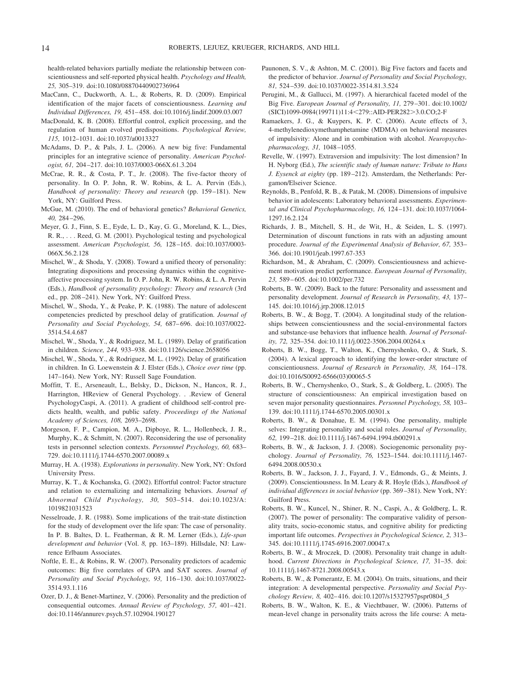health-related behaviors partially mediate the relationship between conscientiousness and self-reported physical health. *Psychology and Health, 25,* 305–319. doi:10.1080/08870440902736964

- MacCann, C., Duckworth, A. L., & Roberts, R. D. (2009). Empirical identification of the major facets of conscientiousness. *Learning and Individual Differences, 19,* 451– 458. doi:10.1016/j.lindif.2009.03.007
- MacDonald, K. B. (2008). Effortful control, explicit processing, and the regulation of human evolved predispositions. *Psychological Review, 115,* 1012–1031. doi:10.1037/a0013327
- McAdams, D. P., & Pals, J. L. (2006). A new big five: Fundamental principles for an integrative science of personality. *American Psychologist, 61,* 204 –217. doi:10.1037/0003-066X.61.3.204
- McCrae, R. R., & Costa, P. T., Jr. (2008). The five-factor theory of personality. In O. P. John, R. W. Robins, & L. A. Pervin (Eds.), *Handbook of personality: Theory and research* (pp. 159 –181). New York, NY: Guilford Press.
- McGue, M. (2010). The end of behavioral genetics? *Behavioral Genetics, 40,* 284 –296.
- Meyer, G. J., Finn, S. E., Eyde, L. D., Kay, G. G., Moreland, K. L., Dies, R. R., . . . Reed, G. M. (2001). Psychological testing and psychological assessment. *American Psychologist, 56,* 128 –165. doi:10.1037/0003- 066X.56.2.128
- Mischel, W., & Shoda, Y. (2008). Toward a unified theory of personality: Integrating dispositions and processing dynamics within the cognitiveaffective processing system. In O. P. John, R. W. Robins, & L. A. Pervin (Eds.), *Handbook of personality psychology: Theory and research* (3rd ed., pp. 208 –241). New York, NY: Guilford Press.
- Mischel, W., Shoda, Y., & Peake, P. K. (1988). The nature of adolescent competencies predicted by preschool delay of gratification. *Journal of Personality and Social Psychology, 54,* 687– 696. doi:10.1037/0022- 3514.54.4.687
- Mischel, W., Shoda, Y., & Rodriguez, M. L. (1989). Delay of gratification in children. *Science, 244,* 933–938. doi:10.1126/science.2658056
- Mischel, W., Shoda, Y., & Rodriguez, M. L. (1992). Delay of gratification in children. In G. Loewenstein & J. Elster (Eds.), *Choice over time* (pp. 147–164). New York, NY: Russell Sage Foundation.
- Moffitt, T. E., Arseneault, L., Belsky, D., Dickson, N., Hancox, R. J., Harrington, HReview of General Psychology. . .Review of General PsychologyCaspi, A. (2011). A gradient of childhood self-control predicts health, wealth, and public safety. *Proceedings of the National Academy of Sciences, 108,* 2693–2698.
- Morgeson, F. P., Campion, M. A., Dipboye, R. L., Hollenbeck, J. R., Murphy, K., & Schmitt, N. (2007). Reconsidering the use of personality tests in personnel selection contexts. *Personnnel Psychology, 60,* 683– 729. doi:10.1111/j.1744-6570.2007.00089.x
- Murray, H. A. (1938). *Explorations in personality*. New York, NY: Oxford University Press.
- Murray, K. T., & Kochanska, G. (2002). Effortful control: Factor structure and relation to externalizing and internalizing behaviors. *Journal of Abnormal Child Psychology, 30,* 503–514. doi:10.1023/A: 1019821031523
- Nesselroade, J. R. (1988). Some implications of the trait-state distinction for the study of development over the life span: The case of personality. In P. B. Baltes, D. L. Featherman, & R. M. Lerner (Eds.), *Life-span development and behavior* (Vol. *8,* pp. 163–189). Hillsdale, NJ: Lawrence Erlbaum Associates.
- Noftle, E. E., & Robins, R. W. (2007). Personality predictors of academic outcomes: Big five correlates of GPA and SAT scores. *Journal of Personality and Social Psychology, 93,* 116 –130. doi:10.1037/0022- 3514.93.1.116
- Ozer, D. J., & Benet-Martinez, V. (2006). Personality and the prediction of consequential outcomes. Annual Review of Psychology, 57, 401-421. doi:10.1146/annurev.psych.57.102904.190127
- Paunonen, S. V., & Ashton, M. C. (2001). Big Five factors and facets and the predictor of behavior. *Journal of Personality and Social Psychology, 81,* 524 –539. doi:10.1037/0022-3514.81.3.524
- Perugini, M., & Gallucci, M. (1997). A hierarchical faceted model of the Big Five. *European Journal of Personality, 11,* 279 –301. doi:10.1002/ (SICI)1099-0984(199711)11:4<279::AID-PER282>3.0.CO;2-F
- Ramaekers, J. G., & Kuypers, K. P. C. (2006). Acute effects of 3, 4-methylenedioxymethamphetamine (MDMA) on behavioral measures of impulsivity: Alone and in combination with alcohol. *Neuropsychopharmacology, 31,* 1048 –1055.
- Revelle, W. (1997). Extraversion and impulsivity: The lost dimension? In H. Nyborg (Ed.), *The scientific study of human nature: Tribute to Hans J. Eysenck at eighty* (pp. 189 –212). Amsterdam, the Netherlands: Pergamon/Elseiver Science.
- Reynolds, B., Penfold, R. B., & Patak, M. (2008). Dimensions of impulsive behavior in adolescents: Laboratory behavioral assessments. *Experimental and Clinical Psychopharmacology, 16,* 124 –131. doi:10.1037/1064- 1297.16.2.124
- Richards, J. B., Mitchell, S. H., de Wit, H., & Seiden, L. S. (1997). Determination of discount functions in rats with an adjusting amount procedure. *Journal of the Experimental Analysis of Behavior, 67,* 353– 366. doi:10.1901/jeab.1997.67-353
- Richardson, M., & Abraham, C. (2009). Conscientiousness and achievement motivation predict performance. *European Journal of Personality, 23,* 589 – 605. doi:10.1002/per.732
- Roberts, B. W. (2009). Back to the future: Personality and assessment and personality development. *Journal of Research in Personality, 43,* 137– 145. doi:10.1016/j.jrp.2008.12.015
- Roberts, B. W., & Bogg, T. (2004). A longitudinal study of the relationships between conscientiousness and the social-environmental factors and substance-use behaviors that influence health. *Journal of Personality, 72,* 325–354. doi:10.1111/j.0022-3506.2004.00264.x
- Roberts, B. W., Bogg, T., Walton, K., Chernyshenko, O., & Stark, S. (2004). A lexical approach to identifying the lower-order structure of conscientiousness. *Journal of Research in Personality, 38,* 164 –178. doi:10.1016/S0092-6566(03)00065-5
- Roberts, B. W., Chernyshenko, O., Stark, S., & Goldberg, L. (2005). The structure of conscientiousness: An empirical investigation based on seven major personality questionnaires. *Personnel Psychology, 58,* 103– 139. doi:10.1111/j.1744-6570.2005.00301.x
- Roberts, B. W., & Donahue, E. M. (1994). One personality, multiple selves: Integrating personality and social roles. *Journal of Personality, 62,* 199 –218. doi:10.1111/j.1467-6494.1994.tb00291.x
- Roberts, B. W., & Jackson, J. J. (2008). Sociogenomic personality psychology. *Journal of Personality, 76,* 1523–1544. doi:10.1111/j.1467- 6494.2008.00530.x
- Roberts, B. W., Jackson, J. J., Fayard, J. V., Edmonds, G., & Meints, J. (2009). Conscientiousness. In M. Leary & R. Hoyle (Eds.), *Handbook of individual differences in social behavior* (pp. 369 –381). New York, NY: Guilford Press.
- Roberts, B. W., Kuncel, N., Shiner, R. N., Caspi, A., & Goldberg, L. R. (2007). The power of personality: The comparative validity of personality traits, socio-economic status, and cognitive ability for predicting important life outcomes. *Perspectives in Psychological Science, 2,* 313– 345. doi:10.1111/j.1745-6916.2007.00047.x
- Roberts, B. W., & Mroczek, D. (2008). Personality trait change in adulthood. *Current Directions in Psychological Science, 17,* 31–35. doi: 10.1111/j.1467-8721.2008.00543.x
- Roberts, B. W., & Pomerantz, E. M. (2004). On traits, situations, and their integration: A developmental perspective. *Personality and Social Psychology Review, 8,* 402– 416. doi:10.1207/s15327957pspr0804\_5
- Roberts, B. W., Walton, K. E., & Viechtbauer, W. (2006). Patterns of mean-level change in personality traits across the life course: A meta-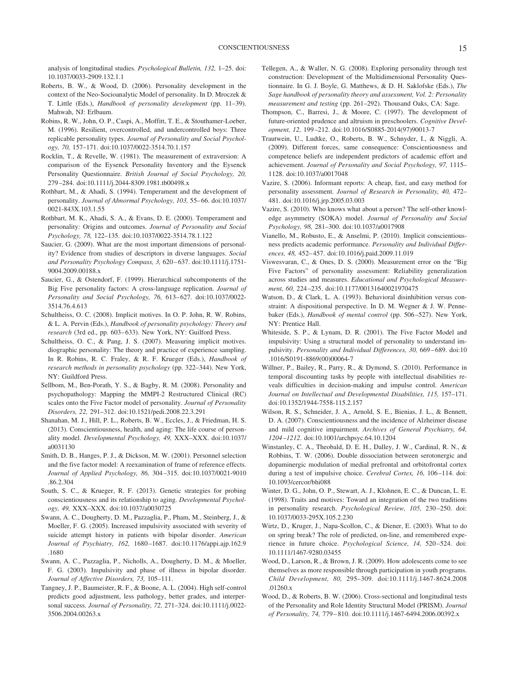analysis of longitudinal studies. *Psychological Bulletin, 132,* 1–25. doi: 10.1037/0033-2909.132.1.1

- Roberts, B. W., & Wood, D. (2006). Personality development in the context of the Neo-Socioanalytic Model of personality. In D. Mroczek & T. Little (Eds.), *Handbook of personality development* (pp. 11–39). Mahwah, NJ: Erlbaum.
- Robins, R. W., John, O. P., Caspi, A., Moffitt, T. E., & Stouthamer-Loeber, M. (1996). Resilient, overcontrolled, and undercontrolled boys: Three replicable personality types. *Journal of Personality and Social Psychology, 70,* 157–171. doi:10.1037/0022-3514.70.1.157
- Rocklin, T., & Revelle, W. (1981). The measurement of extraversion: A comparison of the Eysenck Personality Inventory and the Eysenck Personality Questionnaire. *British Journal of Social Psychology, 20,* 279 –284. doi:10.1111/j.2044-8309.1981.tb00498.x
- Rothbart, M., & Ahadi, S. (1994). Temperament and the development of personality. *Journal of Abnormal Psychology, 103,* 55– 66. doi:10.1037/ 0021-843X.103.1.55
- Rothbart, M. K., Ahadi, S. A., & Evans, D. E. (2000). Temperament and personality: Origins and outcomes. *Journal of Personality and Social Psychology, 78,* 122–135. doi:10.1037/0022-3514.78.1.122
- Saucier, G. (2009). What are the most important dimensions of personality? Evidence from studies of descriptors in diverse languages. *Social and Personality Psychology Compass, 3,* 620 – 637. doi:10.1111/j.1751- 9004.2009.00188.x
- Saucier, G., & Ostendorf, F. (1999). Hierarchical subcomponents of the Big Five personality factors: A cross-language replication. *Journal of Personality and Social Psychology, 76,* 613– 627. doi:10.1037/0022- 3514.76.4.613
- Schultheiss, O. C. (2008). Implicit motives. In O. P. John, R. W. Robins, & L. A. Pervin (Eds.), *Handbook of personality psychology: Theory and* research (3rd ed., pp. 603-633). New York, NY: Guilford Press.
- Schultheiss, O. C., & Pang, J. S. (2007). Measuring implicit motives. diographic personality: The theory and practice of experience sampling. In R. Robins, R. C. Fraley, & R. F. Krueger (Eds.), *Handbook of research methods in personality psychology* (pp. 322–344). New York, NY: Guildford Press.
- Sellbom, M., Ben-Porath, Y. S., & Bagby, R. M. (2008). Personality and psychopathology: Mapping the MMPI-2 Restructured Clinical (RC) scales onto the Five Factor model of personality. *Journal of Personality Disorders, 22,* 291–312. doi:10.1521/pedi.2008.22.3.291
- Shanahan, M. J., Hill, P. L., Roberts, B. W., Eccles, J., & Friedman, H. S. (2013). Conscientiousness, health, and aging: The life course of personality model. *Developmental Psychology, 49,* XXX–XXX. doi:10.1037/ a0031130
- Smith, D. B., Hanges, P. J., & Dickson, M. W. (2001). Personnel selection and the five factor model: A reexamination of frame of reference effects. *Journal of Applied Psychology, 86,* 304 –315. doi:10.1037/0021-9010 .86.2.304
- South, S. C., & Krueger, R. F. (2013). Genetic strategies for probing conscientiousness and its relationship to aging. *Developmental Psychology, 49,* XXX–XXX. doi:10.1037/a0030725
- Swann, A. C., Dougherty, D. M., Pazzaglia, P., Pham, M., Steinberg, J., & Moeller, F. G. (2005). Increased impulsivity associated with severity of suicide attempt history in patients with bipolar disorder. *American Journal of Psychiatry, 162,* 1680 –1687. doi:10.1176/appi.ajp.162.9 .1680
- Swann, A. C., Pazzaglia, P., Nicholls, A., Dougherty, D. M., & Moeller, F. G. (2003). Impulsivity and phase of illness in bipolar disorder. *Journal of Affective Disorders, 73,* 105–111.
- Tangney, J. P., Baumeister, R. F., & Boone, A. L. (2004). High self-control predicts good adjustment, less pathology, better grades, and interpersonal success. *Journal of Personality, 72,* 271–324. doi:10.1111/j.0022- 3506.2004.00263.x
- Tellegen, A., & Waller, N. G. (2008). Exploring personality through test construction: Development of the Multidimensional Personality Questionnaire. In G. J. Boyle, G. Matthews, & D. H. Saklofske (Eds.), *The Sage handbook of personality theory and assessment, Vol. 2: Personality measurement and testing* (pp. 261–292). Thousand Oaks, CA: Sage.
- Thompson, C., Barresi, J., & Moore, C. (1997). The development of future-oriented prudence and altruism in preschoolers. *Cognitive Development, 12,* 199 –212. doi:10.1016/S0885-2014(97)90013-7
- Trautwein, U., Ludtke, O., Roberts, B. W., Schnyder, I., & Niggli, A. (2009). Different forces, same consequence: Conscientiousness and competence beliefs are independent predictors of academic effort and achievement. *Journal of Personality and Social Psychology, 97,* 1115– 1128. doi:10.1037/a0017048
- Vazire, S. (2006). Informant reports: A cheap, fast, and easy method for personality assessment. *Journal of Research in Personality, 40,* 472– 481. doi:10.1016/j.jrp.2005.03.003
- Vazire, S. (2010). Who knows what about a person? The self-other knowledge asymmetry (SOKA) model. *Journal of Personality and Social Psychology, 98,* 281–300. doi:10.1037/a0017908
- Vianello, M., Robusto, E., & Anselmi, P. (2010). Implicit conscientiousness predicts academic performance. *Personality and Individual Differences, 48,* 452– 457. doi:10.1016/j.paid.2009.11.019
- Viswesvaran, C., & Ones, D. S. (2000). Measurement error on the "Big Five Factors" of personality assessment: Reliability generalization across studies and measures. *Educational and Psychological Measurement, 60,* 224 –235. doi:10.1177/00131640021970475
- Watson, D., & Clark, L. A. (1993). Behavioral disinhibition versus constraint: A dispositional perspective. In D. M. Wegner & J. W. Pennebaker (Eds.), *Handbook of mental control* (pp. 506 –527). New York, NY: Prentice Hall.
- Whiteside, S. P., & Lynam, D. R. (2001). The Five Factor Model and impulsivity: Using a structural model of personality to understand impulsivity. *Personality and Individual Differences, 30, 669-689.* doi:10 .1016/S0191-8869(00)00064-7
- Willner, P., Bailey, R., Parry, R., & Dymond, S. (2010). Performance in temporal discounting tasks by people with intellectual disabilities reveals difficulties in decision-making and impulse control. *American Journal on Intellectual and Developmental Disabilities, 115,* 157–171. doi:10.1352/1944-7558-115.2.157
- Wilson, R. S., Schneider, J. A., Arnold, S. E., Bienias, J. L., & Bennett, D. A. (2007). Conscientiousness and the incidence of Alzheimer disease and mild cognitive impairment. *Archives of General Psychiatry, 64, 1204 –1212*. doi:10.1001/archpsyc.64.10.1204
- Winstanley, C. A., Theobald, D. E. H., Dalley, J. W., Cardinal, R. N., & Robbins, T. W. (2006). Double dissociation between serotonergic and dopaminergic modulation of medial prefrontal and orbitofrontal cortex during a test of impulsive choice. *Cerebral Cortex, 16, 106-114*. doi: 10.1093/cercor/bhi088
- Winter, D. G., John, O. P., Stewart, A. J., Klohnen, E. C., & Duncan, L. E. (1998). Traits and motives: Toward an integration of the two traditions in personality research. *Psychological Review, 105,* 230 –250. doi: 10.1037/0033-295X.105.2.230
- Wirtz, D., Kruger, J., Napa-Scollon, C., & Diener, E. (2003). What to do on spring break? The role of predicted, on-line, and remembered experience in future choice. *Psychological Science, 14,* 520 –524. doi: 10.1111/1467-9280.03455
- Wood, D., Larson, R., & Brown, J. R. (2009). How adolescents come to see themselves as more responsible through participation in youth programs. *Child Development, 80,* 295–309. doi:10.1111/j.1467-8624.2008 .01260.x
- Wood, D., & Roberts, B. W. (2006). Cross-sectional and longitudinal tests of the Personality and Role Identity Structural Model (PRISM). *Journal of Personality, 74,* 779 – 810. doi:10.1111/j.1467-6494.2006.00392.x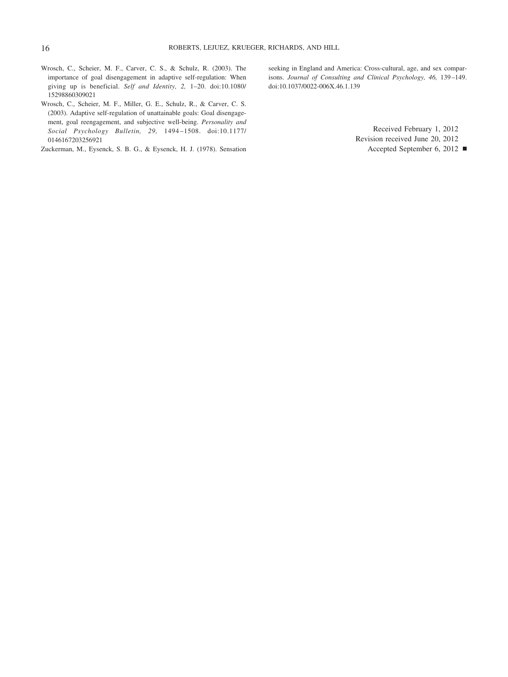- Wrosch, C., Scheier, M. F., Carver, C. S., & Schulz, R. (2003). The importance of goal disengagement in adaptive self-regulation: When giving up is beneficial. *Self and Identity, 2,* 1–20. doi:10.1080/ 15298860309021
- Wrosch, C., Scheier, M. F., Miller, G. E., Schulz, R., & Carver, C. S. (2003). Adaptive self-regulation of unattainable goals: Goal disengagement, goal reengagement, and subjective well-being. *Personality and Social Psychology Bulletin, 29,* 1494 –1508. doi:10.1177/ 0146167203256921

Zuckerman, M., Eysenck, S. B. G., & Eysenck, H. J. (1978). Sensation

seeking in England and America: Cross-cultural, age, and sex comparisons. *Journal of Consulting and Clinical Psychology, 46,* 139 –149. doi:10.1037/0022-006X.46.1.139

> Received February 1, 2012 Revision received June 20, 2012

Accepted September 6, 2012 !